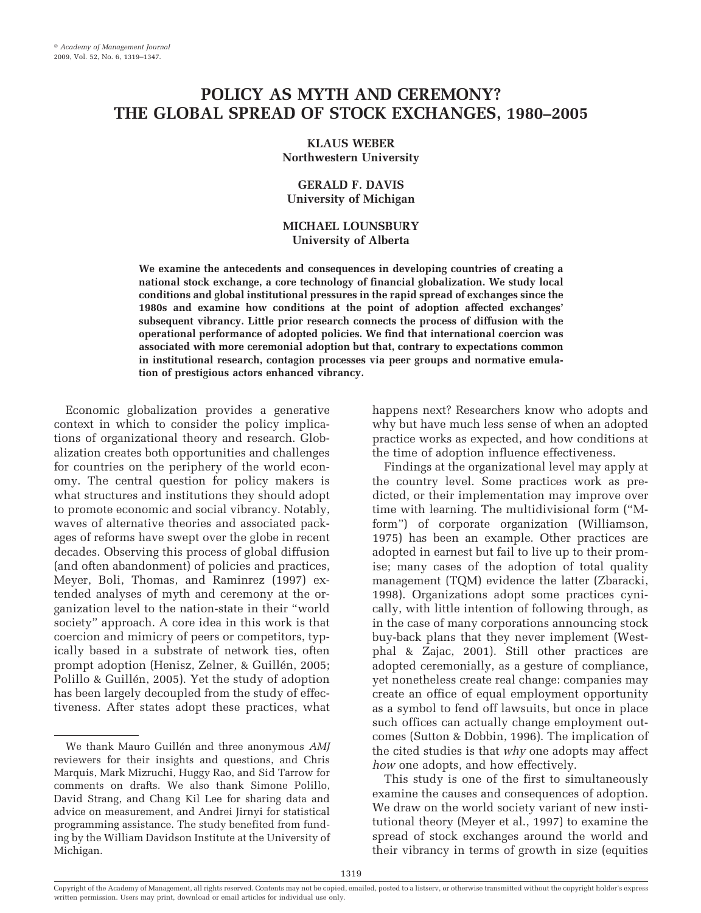# **POLICY AS MYTH AND CEREMONY? THE GLOBAL SPREAD OF STOCK EXCHANGES, 1980–2005**

### **KLAUS WEBER Northwestern University**

# **GERALD F. DAVIS University of Michigan**

# **MICHAEL LOUNSBURY University of Alberta**

**We examine the antecedents and consequences in developing countries of creating a national stock exchange, a core technology of financial globalization. We study local conditions and global institutional pressures in the rapid spread of exchanges since the 1980s and examine how conditions at the point of adoption affected exchanges' subsequent vibrancy. Little prior research connects the process of diffusion with the operational performance of adopted policies. We find that international coercion was associated with more ceremonial adoption but that, contrary to expectations common in institutional research, contagion processes via peer groups and normative emulation of prestigious actors enhanced vibrancy.**

Economic globalization provides a generative context in which to consider the policy implications of organizational theory and research. Globalization creates both opportunities and challenges for countries on the periphery of the world economy. The central question for policy makers is what structures and institutions they should adopt to promote economic and social vibrancy. Notably, waves of alternative theories and associated packages of reforms have swept over the globe in recent decades. Observing this process of global diffusion (and often abandonment) of policies and practices, Meyer, Boli, Thomas, and Raminrez (1997) extended analyses of myth and ceremony at the organization level to the nation-state in their "world society" approach. A core idea in this work is that coercion and mimicry of peers or competitors, typically based in a substrate of network ties, often prompt adoption (Henisz, Zelner, & Guillén, 2005; Polillo & Guillén, 2005). Yet the study of adoption has been largely decoupled from the study of effectiveness. After states adopt these practices, what

happens next? Researchers know who adopts and why but have much less sense of when an adopted practice works as expected, and how conditions at the time of adoption influence effectiveness.

Findings at the organizational level may apply at the country level. Some practices work as predicted, or their implementation may improve over time with learning. The multidivisional form ("Mform") of corporate organization (Williamson, 1975) has been an example. Other practices are adopted in earnest but fail to live up to their promise; many cases of the adoption of total quality management (TQM) evidence the latter (Zbaracki, 1998). Organizations adopt some practices cynically, with little intention of following through, as in the case of many corporations announcing stock buy-back plans that they never implement (Westphal & Zajac, 2001). Still other practices are adopted ceremonially, as a gesture of compliance, yet nonetheless create real change: companies may create an office of equal employment opportunity as a symbol to fend off lawsuits, but once in place such offices can actually change employment outcomes (Sutton & Dobbin, 1996). The implication of the cited studies is that *why* one adopts may affect *how* one adopts, and how effectively.

This study is one of the first to simultaneously examine the causes and consequences of adoption. We draw on the world society variant of new institutional theory (Meyer et al., 1997) to examine the spread of stock exchanges around the world and their vibrancy in terms of growth in size (equities

We thank Mauro Guillén and three anonymous *AMJ* reviewers for their insights and questions, and Chris Marquis, Mark Mizruchi, Huggy Rao, and Sid Tarrow for comments on drafts. We also thank Simone Polillo, David Strang, and Chang Kil Lee for sharing data and advice on measurement, and Andrei Jirnyi for statistical programming assistance. The study benefited from funding by the William Davidson Institute at the University of Michigan.

Copyright of the Academy of Management, all rights reserved. Contents may not be copied, emailed, posted to a listserv, or otherwise transmitted without the copyright holder's express written permission. Users may print, download or email articles for individual use only.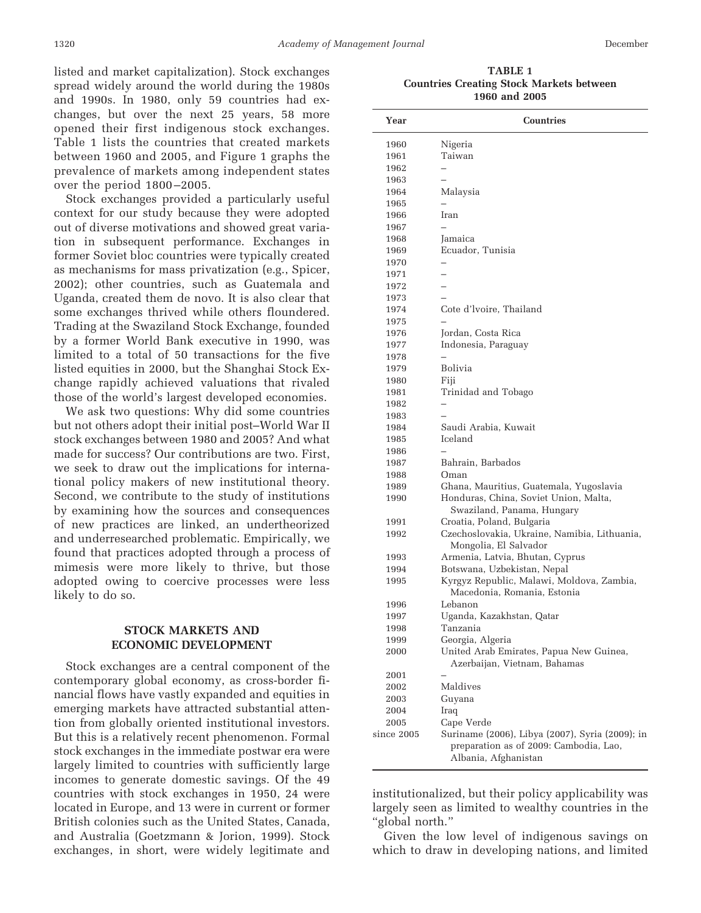listed and market capitalization). Stock exchanges spread widely around the world during the 1980s and 1990s. In 1980, only 59 countries had exchanges, but over the next 25 years, 58 more opened their first indigenous stock exchanges. Table 1 lists the countries that created markets between 1960 and 2005, and Figure 1 graphs the prevalence of markets among independent states over the period 1800 –2005.

Stock exchanges provided a particularly useful context for our study because they were adopted out of diverse motivations and showed great variation in subsequent performance. Exchanges in former Soviet bloc countries were typically created as mechanisms for mass privatization (e.g., Spicer, 2002); other countries, such as Guatemala and Uganda, created them de novo. It is also clear that some exchanges thrived while others floundered. Trading at the Swaziland Stock Exchange, founded by a former World Bank executive in 1990, was limited to a total of 50 transactions for the five listed equities in 2000, but the Shanghai Stock Exchange rapidly achieved valuations that rivaled those of the world's largest developed economies.

We ask two questions: Why did some countries but not others adopt their initial post–World War II stock exchanges between 1980 and 2005? And what made for success? Our contributions are two. First, we seek to draw out the implications for international policy makers of new institutional theory. Second, we contribute to the study of institutions by examining how the sources and consequences of new practices are linked, an undertheorized and underresearched problematic. Empirically, we found that practices adopted through a process of mimesis were more likely to thrive, but those adopted owing to coercive processes were less likely to do so.

# **STOCK MARKETS AND ECONOMIC DEVELOPMENT**

Stock exchanges are a central component of the contemporary global economy, as cross-border financial flows have vastly expanded and equities in emerging markets have attracted substantial attention from globally oriented institutional investors. But this is a relatively recent phenomenon. Formal stock exchanges in the immediate postwar era were largely limited to countries with sufficiently large incomes to generate domestic savings. Of the 49 countries with stock exchanges in 1950, 24 were located in Europe, and 13 were in current or former British colonies such as the United States, Canada, and Australia (Goetzmann & Jorion, 1999). Stock exchanges, in short, were widely legitimate and

**TABLE 1 Countries Creating Stock Markets between 1960 and 2005**

| Year         | Countries                                                                 |
|--------------|---------------------------------------------------------------------------|
| 1960         | Nigeria                                                                   |
| 1961         | Taiwan                                                                    |
| 1962         |                                                                           |
| 1963         |                                                                           |
| 1964         | Malaysia                                                                  |
| 1965         |                                                                           |
| 1966         | Iran                                                                      |
| 1967         |                                                                           |
| 1968         | Jamaica                                                                   |
| 1969         | Ecuador, Tunisia                                                          |
| 1970         |                                                                           |
| 1971         |                                                                           |
| 1972         |                                                                           |
| 1973         |                                                                           |
| 1974         | Cote d'Ivoire, Thailand                                                   |
| 1975         |                                                                           |
| 1976         | Jordan, Costa Rica                                                        |
| 1977         | Indonesia, Paraguay                                                       |
| 1978         |                                                                           |
| 1979         | Bolivia                                                                   |
| 1980         | Fiji                                                                      |
| 1981         | Trinidad and Tobago                                                       |
| 1982         |                                                                           |
| 1983         |                                                                           |
| 1984         | Saudi Arabia, Kuwait                                                      |
| 1985         | Iceland                                                                   |
| 1986         |                                                                           |
| 1987         | Bahrain, Barbados                                                         |
| 1988         | Oman                                                                      |
| 1989         | Ghana, Mauritius, Guatemala, Yugoslavia                                   |
| 1990         | Honduras, China, Soviet Union, Malta,                                     |
|              | Swaziland, Panama, Hungary                                                |
| 1991<br>1992 | Croatia, Poland, Bulgaria<br>Czechoslovakia, Ukraine, Namibia, Lithuania, |
|              | Mongolia, El Salvador                                                     |
| 1993         | Armenia, Latvia, Bhutan, Cyprus                                           |
| 1994         | Botswana, Uzbekistan, Nepal                                               |
| 1995         | Kyrgyz Republic, Malawi, Moldova, Zambia,                                 |
|              | Macedonia, Romania, Estonia                                               |
| 1996         | Lebanon                                                                   |
| 1997         | Uganda, Kazakhstan, Qatar                                                 |
| 1998         | Tanzania                                                                  |
| 1999         | Georgia, Algeria                                                          |
| 2000         | United Arab Emirates, Papua New Guinea,                                   |
|              | Azerbaijan, Vietnam, Bahamas                                              |
| 2001         |                                                                           |
| 2002         | Maldives                                                                  |
| 2003         | Guyana                                                                    |
| 2004         | Iraq                                                                      |
| 2005         | Cape Verde                                                                |
| since 2005   | Suriname (2006), Libya (2007), Syria (2009); in                           |
|              | preparation as of 2009: Cambodia, Lao,                                    |
|              | Albania, Afghanistan                                                      |

institutionalized, but their policy applicability was largely seen as limited to wealthy countries in the "global north."

Given the low level of indigenous savings on which to draw in developing nations, and limited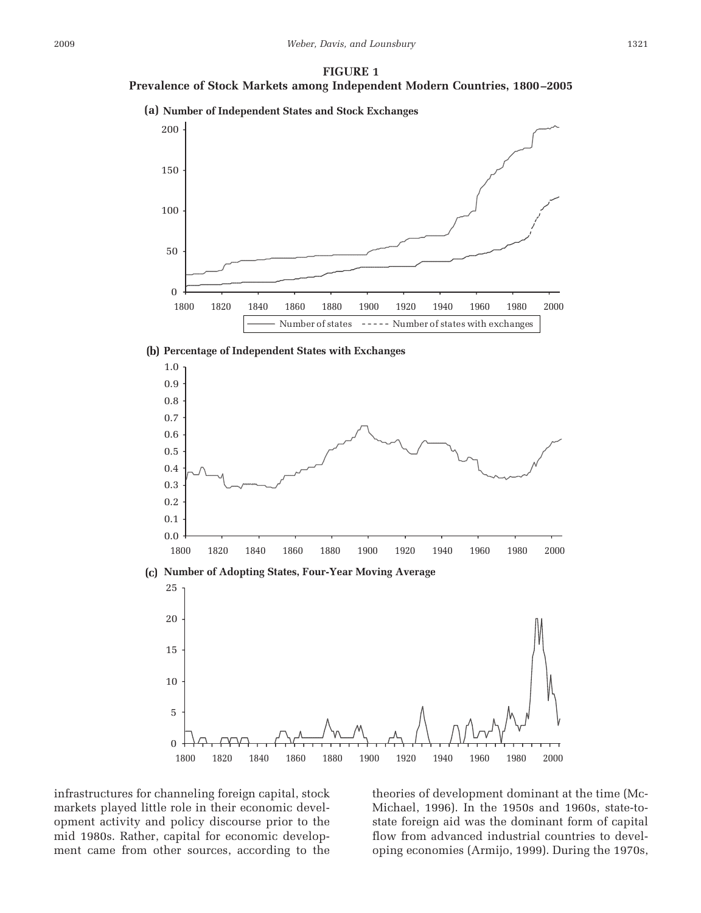#### **FIGURE 1**

# **Prevalence of Stock Markets among Independent Modern Countries, 1800 –2005**



### **Percentage of Independent States with Exchanges (b)**



infrastructures for channeling foreign capital, stock markets played little role in their economic development activity and policy discourse prior to the mid 1980s. Rather, capital for economic development came from other sources, according to the theories of development dominant at the time (Mc-Michael, 1996). In the 1950s and 1960s, state-tostate foreign aid was the dominant form of capital flow from advanced industrial countries to developing economies (Armijo, 1999). During the 1970s,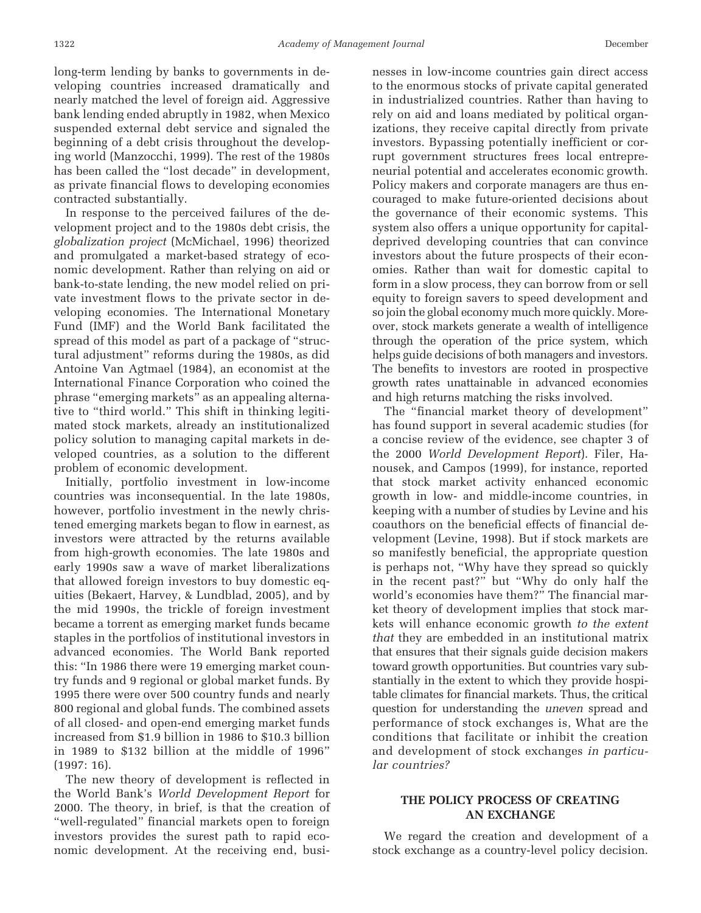long-term lending by banks to governments in developing countries increased dramatically and nearly matched the level of foreign aid. Aggressive bank lending ended abruptly in 1982, when Mexico suspended external debt service and signaled the beginning of a debt crisis throughout the developing world (Manzocchi, 1999). The rest of the 1980s has been called the "lost decade" in development, as private financial flows to developing economies contracted substantially.

In response to the perceived failures of the development project and to the 1980s debt crisis, the *globalization project* (McMichael, 1996) theorized and promulgated a market-based strategy of economic development. Rather than relying on aid or bank-to-state lending, the new model relied on private investment flows to the private sector in developing economies. The International Monetary Fund (IMF) and the World Bank facilitated the spread of this model as part of a package of "structural adjustment" reforms during the 1980s, as did Antoine Van Agtmael (1984), an economist at the International Finance Corporation who coined the phrase "emerging markets" as an appealing alternative to "third world." This shift in thinking legitimated stock markets, already an institutionalized policy solution to managing capital markets in developed countries, as a solution to the different problem of economic development.

Initially, portfolio investment in low-income countries was inconsequential. In the late 1980s, however, portfolio investment in the newly christened emerging markets began to flow in earnest, as investors were attracted by the returns available from high-growth economies. The late 1980s and early 1990s saw a wave of market liberalizations that allowed foreign investors to buy domestic equities (Bekaert, Harvey, & Lundblad, 2005), and by the mid 1990s, the trickle of foreign investment became a torrent as emerging market funds became staples in the portfolios of institutional investors in advanced economies. The World Bank reported this: "In 1986 there were 19 emerging market country funds and 9 regional or global market funds. By 1995 there were over 500 country funds and nearly 800 regional and global funds. The combined assets of all closed- and open-end emerging market funds increased from \$1.9 billion in 1986 to \$10.3 billion in 1989 to \$132 billion at the middle of 1996" (1997: 16).

The new theory of development is reflected in the World Bank's *World Development Report* for 2000. The theory, in brief, is that the creation of "well-regulated" financial markets open to foreign investors provides the surest path to rapid economic development. At the receiving end, businesses in low-income countries gain direct access to the enormous stocks of private capital generated in industrialized countries. Rather than having to rely on aid and loans mediated by political organizations, they receive capital directly from private investors. Bypassing potentially inefficient or corrupt government structures frees local entrepreneurial potential and accelerates economic growth. Policy makers and corporate managers are thus encouraged to make future-oriented decisions about the governance of their economic systems. This system also offers a unique opportunity for capitaldeprived developing countries that can convince investors about the future prospects of their economies. Rather than wait for domestic capital to form in a slow process, they can borrow from or sell equity to foreign savers to speed development and so join the global economy much more quickly. Moreover, stock markets generate a wealth of intelligence through the operation of the price system, which helps guide decisions of both managers and investors. The benefits to investors are rooted in prospective growth rates unattainable in advanced economies and high returns matching the risks involved.

The "financial market theory of development" has found support in several academic studies (for a concise review of the evidence, see chapter 3 of the 2000 *World Development Report*). Filer, Hanousek, and Campos (1999), for instance, reported that stock market activity enhanced economic growth in low- and middle-income countries, in keeping with a number of studies by Levine and his coauthors on the beneficial effects of financial development (Levine, 1998). But if stock markets are so manifestly beneficial, the appropriate question is perhaps not, "Why have they spread so quickly in the recent past?" but "Why do only half the world's economies have them?" The financial market theory of development implies that stock markets will enhance economic growth *to the extent that* they are embedded in an institutional matrix that ensures that their signals guide decision makers toward growth opportunities. But countries vary substantially in the extent to which they provide hospitable climates for financial markets. Thus, the critical question for understanding the *uneven* spread and performance of stock exchanges is, What are the conditions that facilitate or inhibit the creation and development of stock exchanges *in particular countries?*

# **THE POLICY PROCESS OF CREATING AN EXCHANGE**

We regard the creation and development of a stock exchange as a country-level policy decision.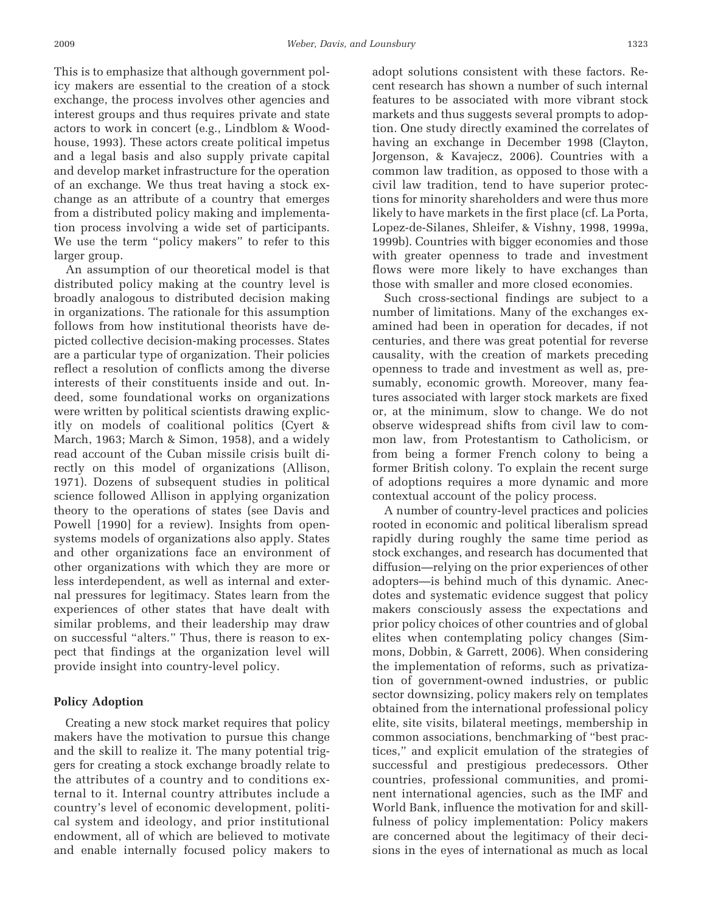This is to emphasize that although government policy makers are essential to the creation of a stock exchange, the process involves other agencies and interest groups and thus requires private and state actors to work in concert (e.g., Lindblom & Woodhouse, 1993). These actors create political impetus and a legal basis and also supply private capital and develop market infrastructure for the operation of an exchange. We thus treat having a stock exchange as an attribute of a country that emerges from a distributed policy making and implementation process involving a wide set of participants. We use the term "policy makers" to refer to this larger group.

An assumption of our theoretical model is that distributed policy making at the country level is broadly analogous to distributed decision making in organizations. The rationale for this assumption follows from how institutional theorists have depicted collective decision-making processes. States are a particular type of organization. Their policies reflect a resolution of conflicts among the diverse interests of their constituents inside and out. Indeed, some foundational works on organizations were written by political scientists drawing explicitly on models of coalitional politics (Cyert & March, 1963; March & Simon, 1958), and a widely read account of the Cuban missile crisis built directly on this model of organizations (Allison, 1971). Dozens of subsequent studies in political science followed Allison in applying organization theory to the operations of states (see Davis and Powell [1990] for a review). Insights from opensystems models of organizations also apply. States and other organizations face an environment of other organizations with which they are more or less interdependent, as well as internal and external pressures for legitimacy. States learn from the experiences of other states that have dealt with similar problems, and their leadership may draw on successful "alters." Thus, there is reason to expect that findings at the organization level will provide insight into country-level policy.

### **Policy Adoption**

Creating a new stock market requires that policy makers have the motivation to pursue this change and the skill to realize it. The many potential triggers for creating a stock exchange broadly relate to the attributes of a country and to conditions external to it. Internal country attributes include a country's level of economic development, political system and ideology, and prior institutional endowment, all of which are believed to motivate and enable internally focused policy makers to

adopt solutions consistent with these factors. Recent research has shown a number of such internal features to be associated with more vibrant stock markets and thus suggests several prompts to adoption. One study directly examined the correlates of having an exchange in December 1998 (Clayton, Jorgenson, & Kavajecz, 2006). Countries with a common law tradition, as opposed to those with a civil law tradition, tend to have superior protections for minority shareholders and were thus more likely to have markets in the first place (cf. La Porta, Lopez-de-Silanes, Shleifer, & Vishny, 1998, 1999a, 1999b). Countries with bigger economies and those with greater openness to trade and investment flows were more likely to have exchanges than those with smaller and more closed economies.

Such cross-sectional findings are subject to a number of limitations. Many of the exchanges examined had been in operation for decades, if not centuries, and there was great potential for reverse causality, with the creation of markets preceding openness to trade and investment as well as, presumably, economic growth. Moreover, many features associated with larger stock markets are fixed or, at the minimum, slow to change. We do not observe widespread shifts from civil law to common law, from Protestantism to Catholicism, or from being a former French colony to being a former British colony. To explain the recent surge of adoptions requires a more dynamic and more contextual account of the policy process.

A number of country-level practices and policies rooted in economic and political liberalism spread rapidly during roughly the same time period as stock exchanges, and research has documented that diffusion—relying on the prior experiences of other adopters—is behind much of this dynamic. Anecdotes and systematic evidence suggest that policy makers consciously assess the expectations and prior policy choices of other countries and of global elites when contemplating policy changes (Simmons, Dobbin, & Garrett, 2006). When considering the implementation of reforms, such as privatization of government-owned industries, or public sector downsizing, policy makers rely on templates obtained from the international professional policy elite, site visits, bilateral meetings, membership in common associations, benchmarking of "best practices," and explicit emulation of the strategies of successful and prestigious predecessors. Other countries, professional communities, and prominent international agencies, such as the IMF and World Bank, influence the motivation for and skillfulness of policy implementation: Policy makers are concerned about the legitimacy of their decisions in the eyes of international as much as local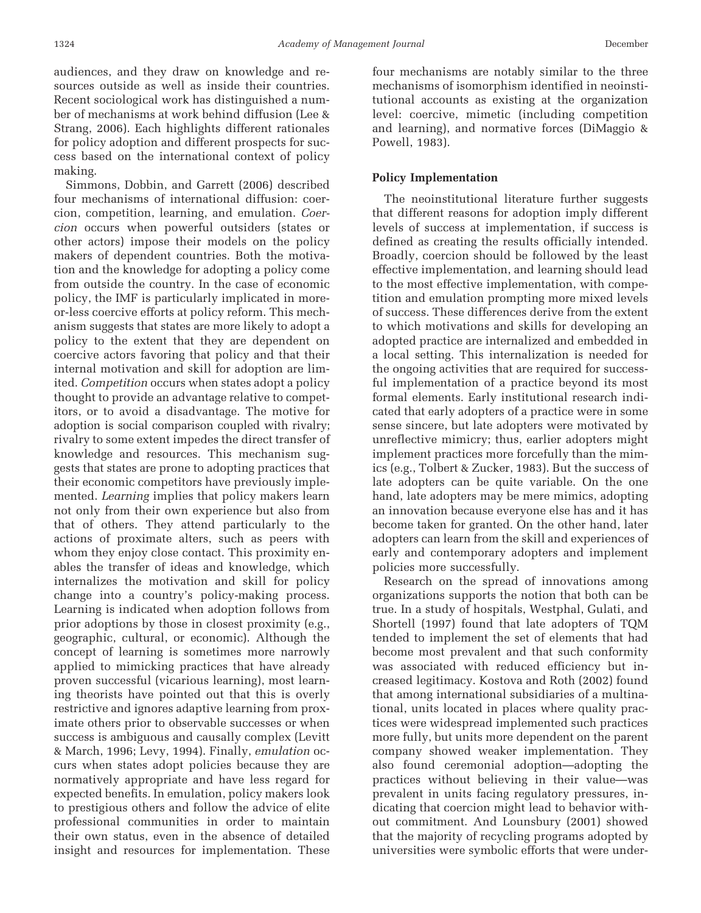audiences, and they draw on knowledge and resources outside as well as inside their countries. Recent sociological work has distinguished a number of mechanisms at work behind diffusion (Lee & Strang, 2006). Each highlights different rationales for policy adoption and different prospects for success based on the international context of policy making.

Simmons, Dobbin, and Garrett (2006) described four mechanisms of international diffusion: coercion, competition, learning, and emulation. *Coercion* occurs when powerful outsiders (states or other actors) impose their models on the policy makers of dependent countries. Both the motivation and the knowledge for adopting a policy come from outside the country. In the case of economic policy, the IMF is particularly implicated in moreor-less coercive efforts at policy reform. This mechanism suggests that states are more likely to adopt a policy to the extent that they are dependent on coercive actors favoring that policy and that their internal motivation and skill for adoption are limited. *Competition* occurs when states adopt a policy thought to provide an advantage relative to competitors, or to avoid a disadvantage. The motive for adoption is social comparison coupled with rivalry; rivalry to some extent impedes the direct transfer of knowledge and resources. This mechanism suggests that states are prone to adopting practices that their economic competitors have previously implemented. *Learning* implies that policy makers learn not only from their own experience but also from that of others. They attend particularly to the actions of proximate alters, such as peers with whom they enjoy close contact. This proximity enables the transfer of ideas and knowledge, which internalizes the motivation and skill for policy change into a country's policy-making process. Learning is indicated when adoption follows from prior adoptions by those in closest proximity (e.g., geographic, cultural, or economic). Although the concept of learning is sometimes more narrowly applied to mimicking practices that have already proven successful (vicarious learning), most learning theorists have pointed out that this is overly restrictive and ignores adaptive learning from proximate others prior to observable successes or when success is ambiguous and causally complex (Levitt & March, 1996; Levy, 1994). Finally, *emulation* occurs when states adopt policies because they are normatively appropriate and have less regard for expected benefits. In emulation, policy makers look to prestigious others and follow the advice of elite professional communities in order to maintain their own status, even in the absence of detailed insight and resources for implementation. These

four mechanisms are notably similar to the three mechanisms of isomorphism identified in neoinstitutional accounts as existing at the organization level: coercive, mimetic (including competition and learning), and normative forces (DiMaggio & Powell, 1983).

### **Policy Implementation**

The neoinstitutional literature further suggests that different reasons for adoption imply different levels of success at implementation, if success is defined as creating the results officially intended. Broadly, coercion should be followed by the least effective implementation, and learning should lead to the most effective implementation, with competition and emulation prompting more mixed levels of success. These differences derive from the extent to which motivations and skills for developing an adopted practice are internalized and embedded in a local setting. This internalization is needed for the ongoing activities that are required for successful implementation of a practice beyond its most formal elements. Early institutional research indicated that early adopters of a practice were in some sense sincere, but late adopters were motivated by unreflective mimicry; thus, earlier adopters might implement practices more forcefully than the mimics (e.g., Tolbert & Zucker, 1983). But the success of late adopters can be quite variable. On the one hand, late adopters may be mere mimics, adopting an innovation because everyone else has and it has become taken for granted. On the other hand, later adopters can learn from the skill and experiences of early and contemporary adopters and implement policies more successfully.

Research on the spread of innovations among organizations supports the notion that both can be true. In a study of hospitals, Westphal, Gulati, and Shortell (1997) found that late adopters of TQM tended to implement the set of elements that had become most prevalent and that such conformity was associated with reduced efficiency but increased legitimacy. Kostova and Roth (2002) found that among international subsidiaries of a multinational, units located in places where quality practices were widespread implemented such practices more fully, but units more dependent on the parent company showed weaker implementation. They also found ceremonial adoption—adopting the practices without believing in their value—was prevalent in units facing regulatory pressures, indicating that coercion might lead to behavior without commitment. And Lounsbury (2001) showed that the majority of recycling programs adopted by universities were symbolic efforts that were under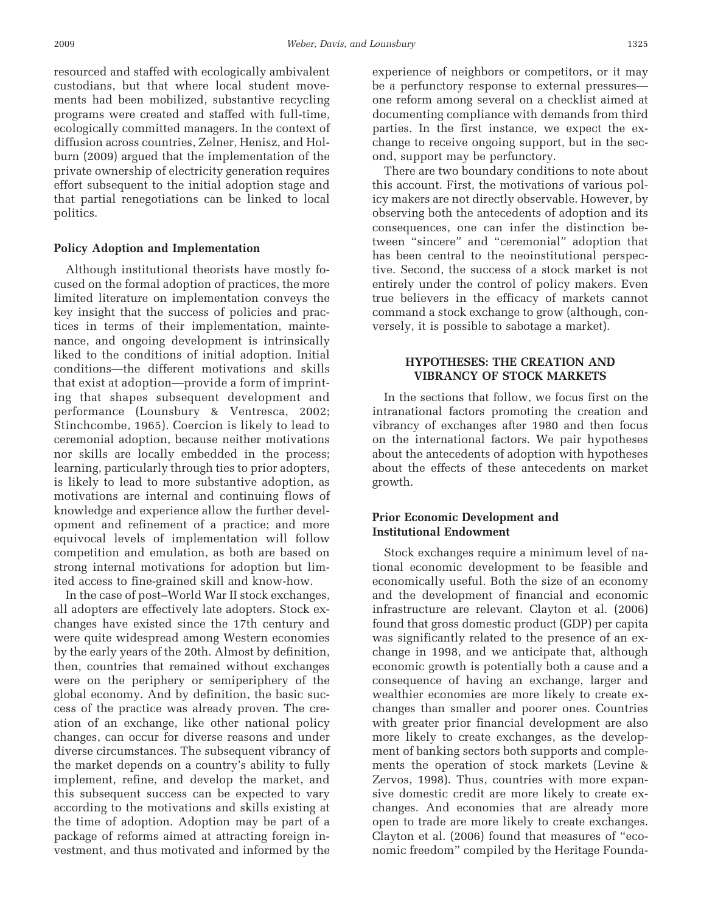resourced and staffed with ecologically ambivalent custodians, but that where local student movements had been mobilized, substantive recycling programs were created and staffed with full-time, ecologically committed managers. In the context of diffusion across countries, Zelner, Henisz, and Holburn (2009) argued that the implementation of the private ownership of electricity generation requires effort subsequent to the initial adoption stage and that partial renegotiations can be linked to local politics.

### **Policy Adoption and Implementation**

Although institutional theorists have mostly focused on the formal adoption of practices, the more limited literature on implementation conveys the key insight that the success of policies and practices in terms of their implementation, maintenance, and ongoing development is intrinsically liked to the conditions of initial adoption. Initial conditions—the different motivations and skills that exist at adoption—provide a form of imprinting that shapes subsequent development and performance (Lounsbury & Ventresca, 2002; Stinchcombe, 1965). Coercion is likely to lead to ceremonial adoption, because neither motivations nor skills are locally embedded in the process; learning, particularly through ties to prior adopters, is likely to lead to more substantive adoption, as motivations are internal and continuing flows of knowledge and experience allow the further development and refinement of a practice; and more equivocal levels of implementation will follow competition and emulation, as both are based on strong internal motivations for adoption but limited access to fine-grained skill and know-how.

In the case of post–World War II stock exchanges, all adopters are effectively late adopters. Stock exchanges have existed since the 17th century and were quite widespread among Western economies by the early years of the 20th. Almost by definition, then, countries that remained without exchanges were on the periphery or semiperiphery of the global economy. And by definition, the basic success of the practice was already proven. The creation of an exchange, like other national policy changes, can occur for diverse reasons and under diverse circumstances. The subsequent vibrancy of the market depends on a country's ability to fully implement, refine, and develop the market, and this subsequent success can be expected to vary according to the motivations and skills existing at the time of adoption. Adoption may be part of a package of reforms aimed at attracting foreign investment, and thus motivated and informed by the

experience of neighbors or competitors, or it may be a perfunctory response to external pressures one reform among several on a checklist aimed at documenting compliance with demands from third parties. In the first instance, we expect the exchange to receive ongoing support, but in the second, support may be perfunctory.

There are two boundary conditions to note about this account. First, the motivations of various policy makers are not directly observable. However, by observing both the antecedents of adoption and its consequences, one can infer the distinction between "sincere" and "ceremonial" adoption that has been central to the neoinstitutional perspective. Second, the success of a stock market is not entirely under the control of policy makers. Even true believers in the efficacy of markets cannot command a stock exchange to grow (although, conversely, it is possible to sabotage a market).

# **HYPOTHESES: THE CREATION AND VIBRANCY OF STOCK MARKETS**

In the sections that follow, we focus first on the intranational factors promoting the creation and vibrancy of exchanges after 1980 and then focus on the international factors. We pair hypotheses about the antecedents of adoption with hypotheses about the effects of these antecedents on market growth.

# **Prior Economic Development and Institutional Endowment**

Stock exchanges require a minimum level of national economic development to be feasible and economically useful. Both the size of an economy and the development of financial and economic infrastructure are relevant. Clayton et al. (2006) found that gross domestic product (GDP) per capita was significantly related to the presence of an exchange in 1998, and we anticipate that, although economic growth is potentially both a cause and a consequence of having an exchange, larger and wealthier economies are more likely to create exchanges than smaller and poorer ones. Countries with greater prior financial development are also more likely to create exchanges, as the development of banking sectors both supports and complements the operation of stock markets (Levine & Zervos, 1998). Thus, countries with more expansive domestic credit are more likely to create exchanges. And economies that are already more open to trade are more likely to create exchanges. Clayton et al. (2006) found that measures of "economic freedom" compiled by the Heritage Founda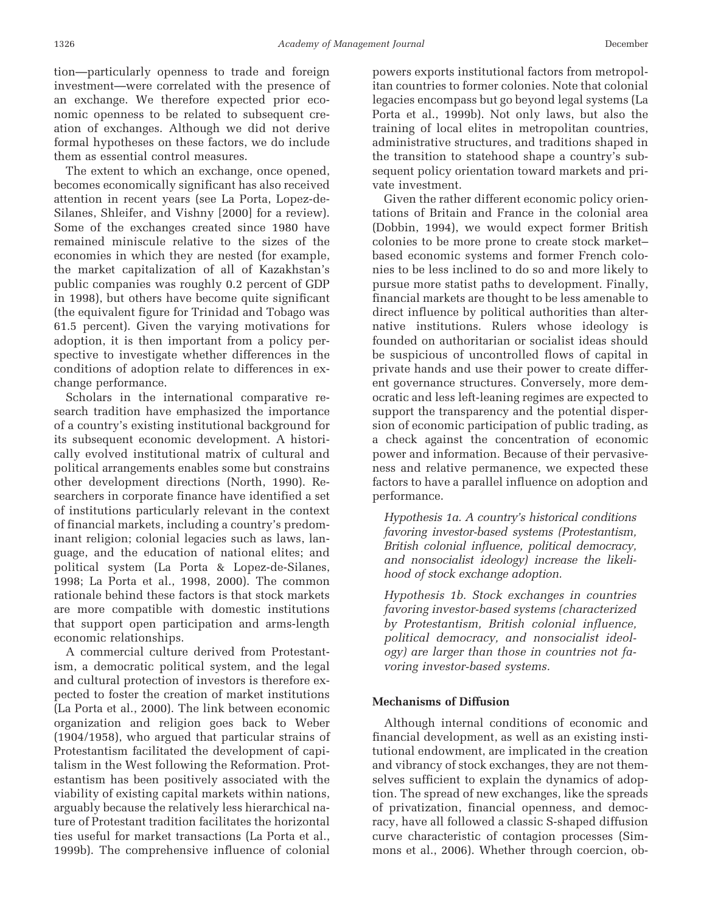tion—particularly openness to trade and foreign investment—were correlated with the presence of an exchange. We therefore expected prior economic openness to be related to subsequent creation of exchanges. Although we did not derive formal hypotheses on these factors, we do include them as essential control measures.

The extent to which an exchange, once opened, becomes economically significant has also received attention in recent years (see La Porta, Lopez-de-Silanes, Shleifer, and Vishny [2000] for a review). Some of the exchanges created since 1980 have remained miniscule relative to the sizes of the economies in which they are nested (for example, the market capitalization of all of Kazakhstan's public companies was roughly 0.2 percent of GDP in 1998), but others have become quite significant (the equivalent figure for Trinidad and Tobago was 61.5 percent). Given the varying motivations for adoption, it is then important from a policy perspective to investigate whether differences in the conditions of adoption relate to differences in exchange performance.

Scholars in the international comparative research tradition have emphasized the importance of a country's existing institutional background for its subsequent economic development. A historically evolved institutional matrix of cultural and political arrangements enables some but constrains other development directions (North, 1990). Researchers in corporate finance have identified a set of institutions particularly relevant in the context of financial markets, including a country's predominant religion; colonial legacies such as laws, language, and the education of national elites; and political system (La Porta & Lopez-de-Silanes, 1998; La Porta et al., 1998, 2000). The common rationale behind these factors is that stock markets are more compatible with domestic institutions that support open participation and arms-length economic relationships.

A commercial culture derived from Protestantism, a democratic political system, and the legal and cultural protection of investors is therefore expected to foster the creation of market institutions (La Porta et al., 2000). The link between economic organization and religion goes back to Weber (1904/1958), who argued that particular strains of Protestantism facilitated the development of capitalism in the West following the Reformation. Protestantism has been positively associated with the viability of existing capital markets within nations, arguably because the relatively less hierarchical nature of Protestant tradition facilitates the horizontal ties useful for market transactions (La Porta et al., 1999b). The comprehensive influence of colonial

powers exports institutional factors from metropolitan countries to former colonies. Note that colonial legacies encompass but go beyond legal systems (La Porta et al., 1999b). Not only laws, but also the training of local elites in metropolitan countries, administrative structures, and traditions shaped in the transition to statehood shape a country's subsequent policy orientation toward markets and private investment.

Given the rather different economic policy orientations of Britain and France in the colonial area (Dobbin, 1994), we would expect former British colonies to be more prone to create stock market– based economic systems and former French colonies to be less inclined to do so and more likely to pursue more statist paths to development. Finally, financial markets are thought to be less amenable to direct influence by political authorities than alternative institutions. Rulers whose ideology is founded on authoritarian or socialist ideas should be suspicious of uncontrolled flows of capital in private hands and use their power to create different governance structures. Conversely, more democratic and less left-leaning regimes are expected to support the transparency and the potential dispersion of economic participation of public trading, as a check against the concentration of economic power and information. Because of their pervasiveness and relative permanence, we expected these factors to have a parallel influence on adoption and performance.

*Hypothesis 1a. A country's historical conditions favoring investor-based systems (Protestantism, British colonial influence, political democracy, and nonsocialist ideology) increase the likelihood of stock exchange adoption.*

*Hypothesis 1b. Stock exchanges in countries favoring investor-based systems (characterized by Protestantism, British colonial influence, political democracy, and nonsocialist ideology) are larger than those in countries not favoring investor-based systems.*

### **Mechanisms of Diffusion**

Although internal conditions of economic and financial development, as well as an existing institutional endowment, are implicated in the creation and vibrancy of stock exchanges, they are not themselves sufficient to explain the dynamics of adoption. The spread of new exchanges, like the spreads of privatization, financial openness, and democracy, have all followed a classic S-shaped diffusion curve characteristic of contagion processes (Simmons et al., 2006). Whether through coercion, ob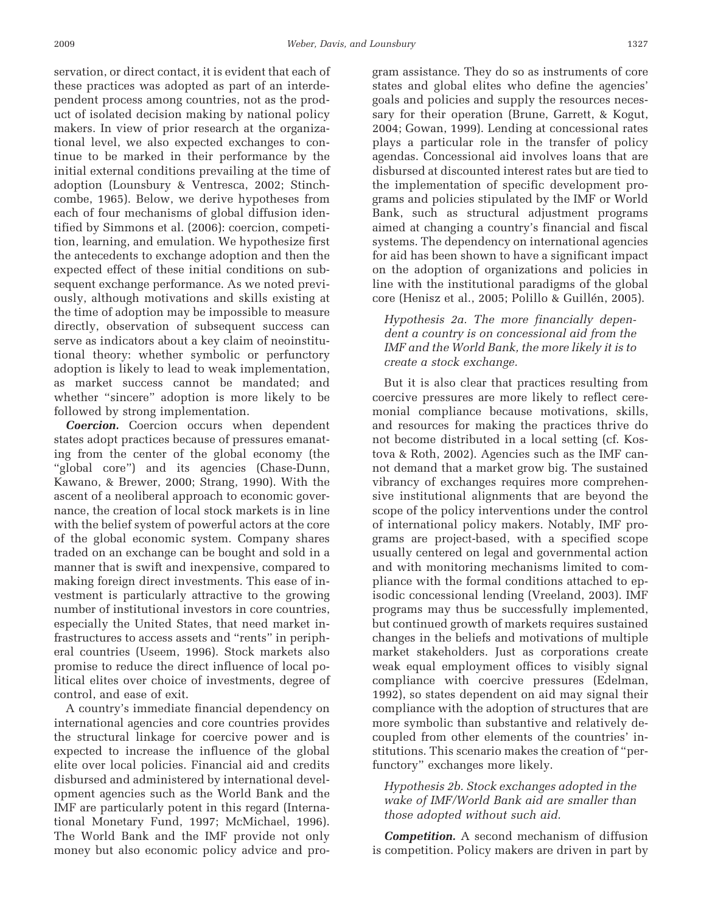servation, or direct contact, it is evident that each of these practices was adopted as part of an interdependent process among countries, not as the product of isolated decision making by national policy makers. In view of prior research at the organizational level, we also expected exchanges to continue to be marked in their performance by the initial external conditions prevailing at the time of adoption (Lounsbury & Ventresca, 2002; Stinchcombe, 1965). Below, we derive hypotheses from each of four mechanisms of global diffusion identified by Simmons et al. (2006): coercion, competition, learning, and emulation. We hypothesize first the antecedents to exchange adoption and then the expected effect of these initial conditions on subsequent exchange performance. As we noted previously, although motivations and skills existing at the time of adoption may be impossible to measure directly, observation of subsequent success can serve as indicators about a key claim of neoinstitutional theory: whether symbolic or perfunctory adoption is likely to lead to weak implementation, as market success cannot be mandated; and whether "sincere" adoption is more likely to be followed by strong implementation.

*Coercion.* Coercion occurs when dependent states adopt practices because of pressures emanating from the center of the global economy (the "global core") and its agencies (Chase-Dunn, Kawano, & Brewer, 2000; Strang, 1990). With the ascent of a neoliberal approach to economic governance, the creation of local stock markets is in line with the belief system of powerful actors at the core of the global economic system. Company shares traded on an exchange can be bought and sold in a manner that is swift and inexpensive, compared to making foreign direct investments. This ease of investment is particularly attractive to the growing number of institutional investors in core countries, especially the United States, that need market infrastructures to access assets and "rents" in peripheral countries (Useem, 1996). Stock markets also promise to reduce the direct influence of local political elites over choice of investments, degree of control, and ease of exit.

A country's immediate financial dependency on international agencies and core countries provides the structural linkage for coercive power and is expected to increase the influence of the global elite over local policies. Financial aid and credits disbursed and administered by international development agencies such as the World Bank and the IMF are particularly potent in this regard (International Monetary Fund, 1997; McMichael, 1996). The World Bank and the IMF provide not only money but also economic policy advice and program assistance. They do so as instruments of core states and global elites who define the agencies' goals and policies and supply the resources necessary for their operation (Brune, Garrett, & Kogut, 2004; Gowan, 1999). Lending at concessional rates plays a particular role in the transfer of policy agendas. Concessional aid involves loans that are disbursed at discounted interest rates but are tied to the implementation of specific development programs and policies stipulated by the IMF or World Bank, such as structural adjustment programs aimed at changing a country's financial and fiscal systems. The dependency on international agencies for aid has been shown to have a significant impact on the adoption of organizations and policies in line with the institutional paradigms of the global core (Henisz et al., 2005; Polillo & Guillén, 2005).

# *Hypothesis 2a. The more financially dependent a country is on concessional aid from the IMF and the World Bank, the more likely it is to create a stock exchange.*

But it is also clear that practices resulting from coercive pressures are more likely to reflect ceremonial compliance because motivations, skills, and resources for making the practices thrive do not become distributed in a local setting (cf. Kostova & Roth, 2002). Agencies such as the IMF cannot demand that a market grow big. The sustained vibrancy of exchanges requires more comprehensive institutional alignments that are beyond the scope of the policy interventions under the control of international policy makers. Notably, IMF programs are project-based, with a specified scope usually centered on legal and governmental action and with monitoring mechanisms limited to compliance with the formal conditions attached to episodic concessional lending (Vreeland, 2003). IMF programs may thus be successfully implemented, but continued growth of markets requires sustained changes in the beliefs and motivations of multiple market stakeholders. Just as corporations create weak equal employment offices to visibly signal compliance with coercive pressures (Edelman, 1992), so states dependent on aid may signal their compliance with the adoption of structures that are more symbolic than substantive and relatively decoupled from other elements of the countries' institutions. This scenario makes the creation of "perfunctory" exchanges more likely.

# *Hypothesis 2b. Stock exchanges adopted in the wake of IMF/World Bank aid are smaller than those adopted without such aid.*

*Competition.* A second mechanism of diffusion is competition. Policy makers are driven in part by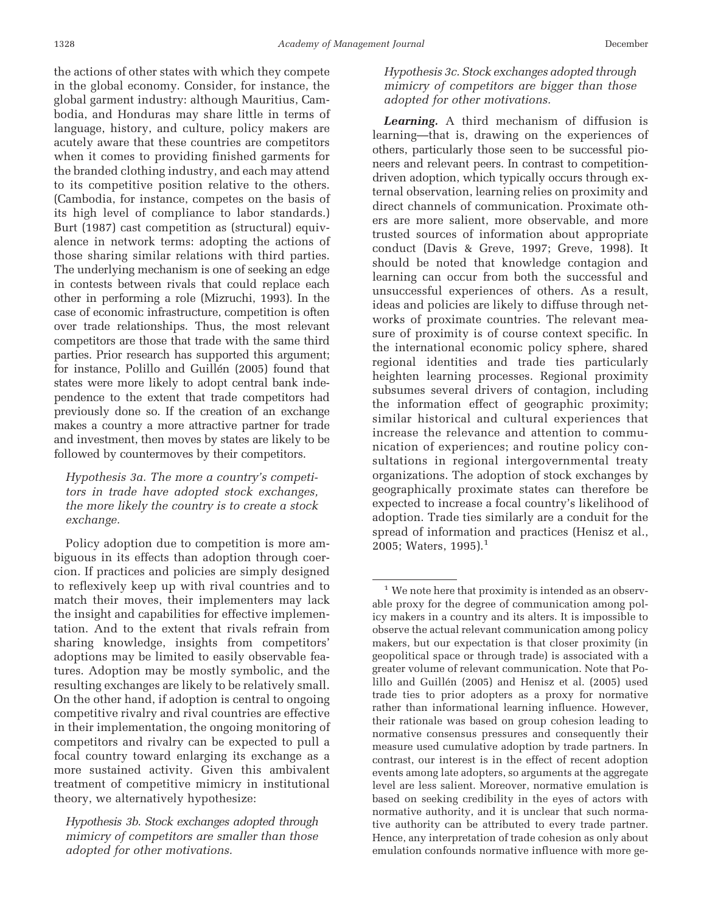the actions of other states with which they compete in the global economy. Consider, for instance, the global garment industry: although Mauritius, Cambodia, and Honduras may share little in terms of language, history, and culture, policy makers are acutely aware that these countries are competitors when it comes to providing finished garments for the branded clothing industry, and each may attend to its competitive position relative to the others. (Cambodia, for instance, competes on the basis of its high level of compliance to labor standards.) Burt (1987) cast competition as (structural) equivalence in network terms: adopting the actions of those sharing similar relations with third parties. The underlying mechanism is one of seeking an edge in contests between rivals that could replace each other in performing a role (Mizruchi, 1993). In the case of economic infrastructure, competition is often over trade relationships. Thus, the most relevant competitors are those that trade with the same third parties. Prior research has supported this argument; for instance, Polillo and Guillén (2005) found that states were more likely to adopt central bank independence to the extent that trade competitors had previously done so. If the creation of an exchange makes a country a more attractive partner for trade and investment, then moves by states are likely to be followed by countermoves by their competitors.

*Hypothesis 3a. The more a country's competitors in trade have adopted stock exchanges, the more likely the country is to create a stock exchange.*

Policy adoption due to competition is more ambiguous in its effects than adoption through coercion. If practices and policies are simply designed to reflexively keep up with rival countries and to match their moves, their implementers may lack the insight and capabilities for effective implementation. And to the extent that rivals refrain from sharing knowledge, insights from competitors' adoptions may be limited to easily observable features. Adoption may be mostly symbolic, and the resulting exchanges are likely to be relatively small. On the other hand, if adoption is central to ongoing competitive rivalry and rival countries are effective in their implementation, the ongoing monitoring of competitors and rivalry can be expected to pull a focal country toward enlarging its exchange as a more sustained activity. Given this ambivalent treatment of competitive mimicry in institutional theory, we alternatively hypothesize:

*Hypothesis 3b. Stock exchanges adopted through mimicry of competitors are smaller than those adopted for other motivations.*

*Hypothesis 3c. Stock exchanges adopted through mimicry of competitors are bigger than those adopted for other motivations.*

*Learning.* A third mechanism of diffusion is learning—that is, drawing on the experiences of others, particularly those seen to be successful pioneers and relevant peers. In contrast to competitiondriven adoption, which typically occurs through external observation, learning relies on proximity and direct channels of communication. Proximate others are more salient, more observable, and more trusted sources of information about appropriate conduct (Davis & Greve, 1997; Greve, 1998). It should be noted that knowledge contagion and learning can occur from both the successful and unsuccessful experiences of others. As a result, ideas and policies are likely to diffuse through networks of proximate countries. The relevant measure of proximity is of course context specific. In the international economic policy sphere, shared regional identities and trade ties particularly heighten learning processes. Regional proximity subsumes several drivers of contagion, including the information effect of geographic proximity; similar historical and cultural experiences that increase the relevance and attention to communication of experiences; and routine policy consultations in regional intergovernmental treaty organizations. The adoption of stock exchanges by geographically proximate states can therefore be expected to increase a focal country's likelihood of adoption. Trade ties similarly are a conduit for the spread of information and practices (Henisz et al., 2005; Waters,  $1995$ ).<sup>1</sup>

 $1$  We note here that proximity is intended as an observable proxy for the degree of communication among policy makers in a country and its alters. It is impossible to observe the actual relevant communication among policy makers, but our expectation is that closer proximity (in geopolitical space or through trade) is associated with a greater volume of relevant communication. Note that Polillo and Guillén (2005) and Henisz et al. (2005) used trade ties to prior adopters as a proxy for normative rather than informational learning influence. However, their rationale was based on group cohesion leading to normative consensus pressures and consequently their measure used cumulative adoption by trade partners. In contrast, our interest is in the effect of recent adoption events among late adopters, so arguments at the aggregate level are less salient. Moreover, normative emulation is based on seeking credibility in the eyes of actors with normative authority, and it is unclear that such normative authority can be attributed to every trade partner. Hence, any interpretation of trade cohesion as only about emulation confounds normative influence with more ge-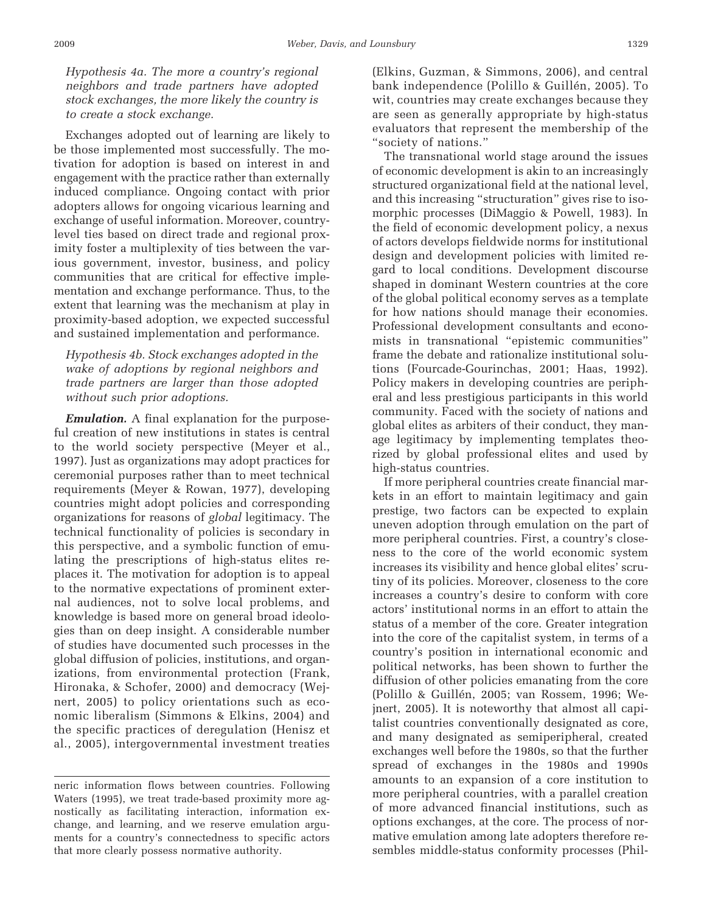*Hypothesis 4a. The more a country's regional neighbors and trade partners have adopted stock exchanges, the more likely the country is to create a stock exchange.*

Exchanges adopted out of learning are likely to be those implemented most successfully. The motivation for adoption is based on interest in and engagement with the practice rather than externally induced compliance. Ongoing contact with prior adopters allows for ongoing vicarious learning and exchange of useful information. Moreover, countrylevel ties based on direct trade and regional proximity foster a multiplexity of ties between the various government, investor, business, and policy communities that are critical for effective implementation and exchange performance. Thus, to the extent that learning was the mechanism at play in proximity-based adoption, we expected successful and sustained implementation and performance.

# *Hypothesis 4b. Stock exchanges adopted in the wake of adoptions by regional neighbors and trade partners are larger than those adopted without such prior adoptions.*

*Emulation.* A final explanation for the purposeful creation of new institutions in states is central to the world society perspective (Meyer et al., 1997). Just as organizations may adopt practices for ceremonial purposes rather than to meet technical requirements (Meyer & Rowan, 1977), developing countries might adopt policies and corresponding organizations for reasons of *global* legitimacy. The technical functionality of policies is secondary in this perspective, and a symbolic function of emulating the prescriptions of high-status elites replaces it. The motivation for adoption is to appeal to the normative expectations of prominent external audiences, not to solve local problems, and knowledge is based more on general broad ideologies than on deep insight. A considerable number of studies have documented such processes in the global diffusion of policies, institutions, and organizations, from environmental protection (Frank, Hironaka, & Schofer, 2000) and democracy (Wejnert, 2005) to policy orientations such as economic liberalism (Simmons & Elkins, 2004) and the specific practices of deregulation (Henisz et al., 2005), intergovernmental investment treaties

(Elkins, Guzman, & Simmons, 2006), and central bank independence (Polillo & Guillén, 2005). To wit, countries may create exchanges because they are seen as generally appropriate by high-status evaluators that represent the membership of the "society of nations."

The transnational world stage around the issues of economic development is akin to an increasingly structured organizational field at the national level, and this increasing "structuration" gives rise to isomorphic processes (DiMaggio & Powell, 1983). In the field of economic development policy, a nexus of actors develops fieldwide norms for institutional design and development policies with limited regard to local conditions. Development discourse shaped in dominant Western countries at the core of the global political economy serves as a template for how nations should manage their economies. Professional development consultants and economists in transnational "epistemic communities" frame the debate and rationalize institutional solutions (Fourcade-Gourinchas, 2001; Haas, 1992). Policy makers in developing countries are peripheral and less prestigious participants in this world community. Faced with the society of nations and global elites as arbiters of their conduct, they manage legitimacy by implementing templates theorized by global professional elites and used by high-status countries.

If more peripheral countries create financial markets in an effort to maintain legitimacy and gain prestige, two factors can be expected to explain uneven adoption through emulation on the part of more peripheral countries. First, a country's closeness to the core of the world economic system increases its visibility and hence global elites' scrutiny of its policies. Moreover, closeness to the core increases a country's desire to conform with core actors' institutional norms in an effort to attain the status of a member of the core. Greater integration into the core of the capitalist system, in terms of a country's position in international economic and political networks, has been shown to further the diffusion of other policies emanating from the core (Polillo & Guillén, 2005; van Rossem, 1996; Wejnert, 2005). It is noteworthy that almost all capitalist countries conventionally designated as core, and many designated as semiperipheral, created exchanges well before the 1980s, so that the further spread of exchanges in the 1980s and 1990s amounts to an expansion of a core institution to more peripheral countries, with a parallel creation of more advanced financial institutions, such as options exchanges, at the core. The process of normative emulation among late adopters therefore resembles middle-status conformity processes (Phil-

neric information flows between countries. Following Waters (1995), we treat trade-based proximity more agnostically as facilitating interaction, information exchange, and learning, and we reserve emulation arguments for a country's connectedness to specific actors that more clearly possess normative authority.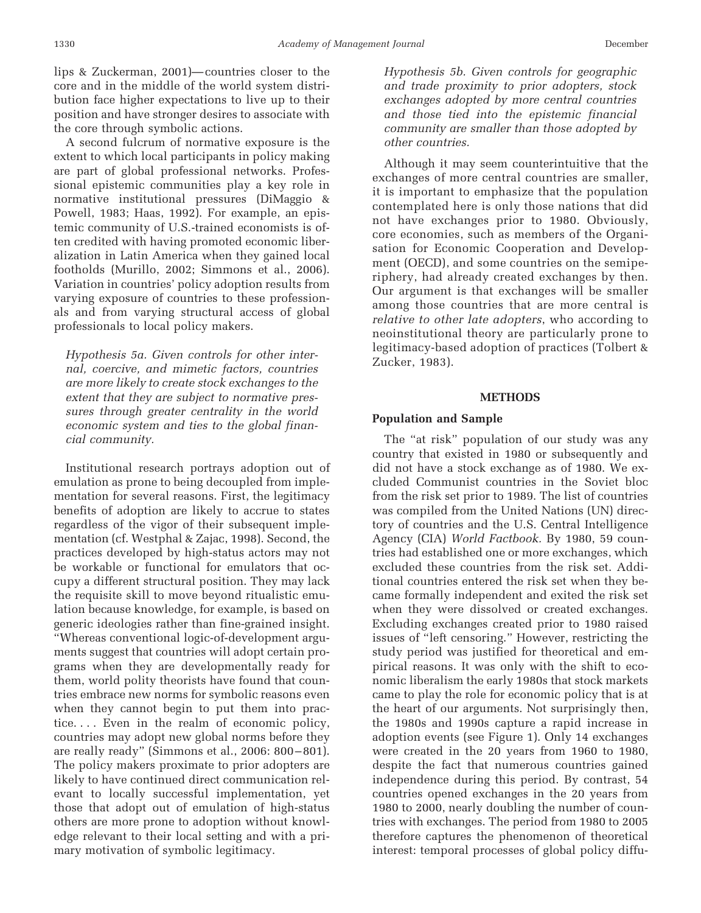lips & Zuckerman, 2001)— countries closer to the core and in the middle of the world system distribution face higher expectations to live up to their position and have stronger desires to associate with the core through symbolic actions.

A second fulcrum of normative exposure is the extent to which local participants in policy making are part of global professional networks. Professional epistemic communities play a key role in normative institutional pressures (DiMaggio & Powell, 1983; Haas, 1992). For example, an epistemic community of U.S.-trained economists is often credited with having promoted economic liberalization in Latin America when they gained local footholds (Murillo, 2002; Simmons et al., 2006). Variation in countries' policy adoption results from varying exposure of countries to these professionals and from varying structural access of global professionals to local policy makers.

*Hypothesis 5a. Given controls for other internal, coercive, and mimetic factors, countries are more likely to create stock exchanges to the extent that they are subject to normative pressures through greater centrality in the world economic system and ties to the global financial community.*

Institutional research portrays adoption out of emulation as prone to being decoupled from implementation for several reasons. First, the legitimacy benefits of adoption are likely to accrue to states regardless of the vigor of their subsequent implementation (cf. Westphal & Zajac, 1998). Second, the practices developed by high-status actors may not be workable or functional for emulators that occupy a different structural position. They may lack the requisite skill to move beyond ritualistic emulation because knowledge, for example, is based on generic ideologies rather than fine-grained insight. "Whereas conventional logic-of-development arguments suggest that countries will adopt certain programs when they are developmentally ready for them, world polity theorists have found that countries embrace new norms for symbolic reasons even when they cannot begin to put them into practice.... Even in the realm of economic policy, countries may adopt new global norms before they are really ready" (Simmons et al., 2006: 800 – 801). The policy makers proximate to prior adopters are likely to have continued direct communication relevant to locally successful implementation, yet those that adopt out of emulation of high-status others are more prone to adoption without knowledge relevant to their local setting and with a primary motivation of symbolic legitimacy.

*Hypothesis 5b. Given controls for geographic and trade proximity to prior adopters, stock exchanges adopted by more central countries and those tied into the epistemic financial community are smaller than those adopted by other countries.*

Although it may seem counterintuitive that the exchanges of more central countries are smaller, it is important to emphasize that the population contemplated here is only those nations that did not have exchanges prior to 1980. Obviously, core economies, such as members of the Organisation for Economic Cooperation and Development (OECD), and some countries on the semiperiphery, had already created exchanges by then. Our argument is that exchanges will be smaller among those countries that are more central is *relative to other late adopters*, who according to neoinstitutional theory are particularly prone to legitimacy-based adoption of practices (Tolbert & Zucker, 1983).

### **METHODS**

#### **Population and Sample**

The "at risk" population of our study was any country that existed in 1980 or subsequently and did not have a stock exchange as of 1980. We excluded Communist countries in the Soviet bloc from the risk set prior to 1989. The list of countries was compiled from the United Nations (UN) directory of countries and the U.S. Central Intelligence Agency (CIA) *World Factbook.* By 1980, 59 countries had established one or more exchanges, which excluded these countries from the risk set. Additional countries entered the risk set when they became formally independent and exited the risk set when they were dissolved or created exchanges. Excluding exchanges created prior to 1980 raised issues of "left censoring." However, restricting the study period was justified for theoretical and empirical reasons. It was only with the shift to economic liberalism the early 1980s that stock markets came to play the role for economic policy that is at the heart of our arguments. Not surprisingly then, the 1980s and 1990s capture a rapid increase in adoption events (see Figure 1). Only 14 exchanges were created in the 20 years from 1960 to 1980, despite the fact that numerous countries gained independence during this period. By contrast, 54 countries opened exchanges in the 20 years from 1980 to 2000, nearly doubling the number of countries with exchanges. The period from 1980 to 2005 therefore captures the phenomenon of theoretical interest: temporal processes of global policy diffu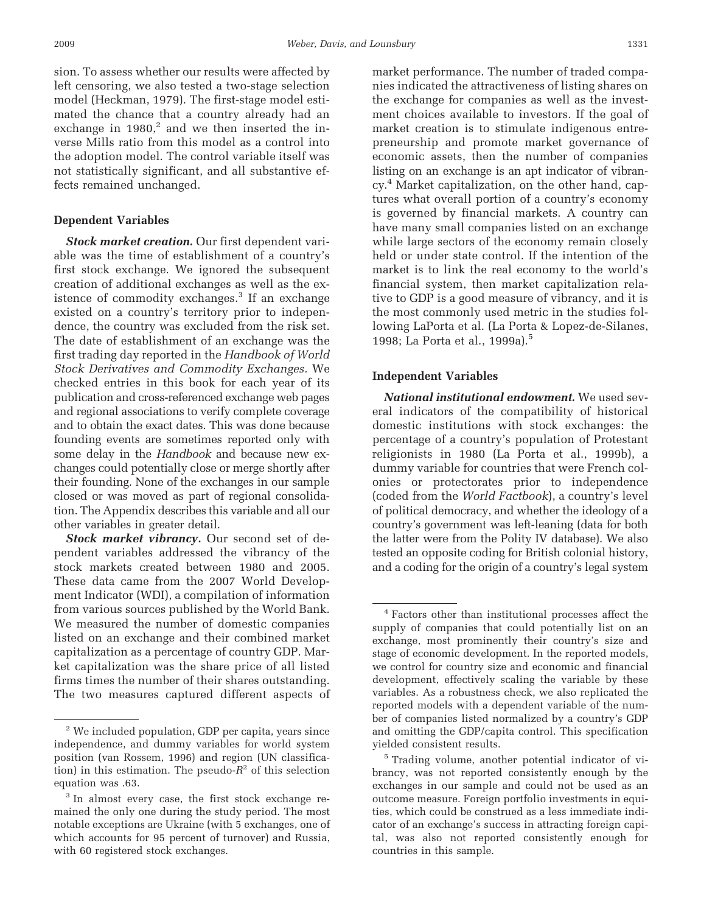sion. To assess whether our results were affected by left censoring, we also tested a two-stage selection model (Heckman, 1979). The first-stage model estimated the chance that a country already had an exchange in  $1980$ ,<sup>2</sup> and we then inserted the inverse Mills ratio from this model as a control into the adoption model. The control variable itself was not statistically significant, and all substantive effects remained unchanged.

### **Dependent Variables**

*Stock market creation.* Our first dependent variable was the time of establishment of a country's first stock exchange. We ignored the subsequent creation of additional exchanges as well as the existence of commodity exchanges.<sup>3</sup> If an exchange existed on a country's territory prior to independence, the country was excluded from the risk set. The date of establishment of an exchange was the first trading day reported in the *Handbook of World Stock Derivatives and Commodity Exchanges.* We checked entries in this book for each year of its publication and cross-referenced exchange web pages and regional associations to verify complete coverage and to obtain the exact dates. This was done because founding events are sometimes reported only with some delay in the *Handbook* and because new exchanges could potentially close or merge shortly after their founding. None of the exchanges in our sample closed or was moved as part of regional consolidation. The Appendix describes this variable and all our other variables in greater detail.

*Stock market vibrancy.* Our second set of dependent variables addressed the vibrancy of the stock markets created between 1980 and 2005. These data came from the 2007 World Development Indicator (WDI), a compilation of information from various sources published by the World Bank. We measured the number of domestic companies listed on an exchange and their combined market capitalization as a percentage of country GDP. Market capitalization was the share price of all listed firms times the number of their shares outstanding. The two measures captured different aspects of market performance. The number of traded companies indicated the attractiveness of listing shares on the exchange for companies as well as the investment choices available to investors. If the goal of market creation is to stimulate indigenous entrepreneurship and promote market governance of economic assets, then the number of companies listing on an exchange is an apt indicator of vibrancy.4 Market capitalization, on the other hand, captures what overall portion of a country's economy is governed by financial markets. A country can have many small companies listed on an exchange while large sectors of the economy remain closely held or under state control. If the intention of the market is to link the real economy to the world's financial system, then market capitalization relative to GDP is a good measure of vibrancy, and it is the most commonly used metric in the studies following LaPorta et al. (La Porta & Lopez-de-Silanes, 1998; La Porta et al., 1999a).<sup>5</sup>

#### **Independent Variables**

*National institutional endowment.* We used several indicators of the compatibility of historical domestic institutions with stock exchanges: the percentage of a country's population of Protestant religionists in 1980 (La Porta et al., 1999b), a dummy variable for countries that were French colonies or protectorates prior to independence (coded from the *World Factbook*), a country's level of political democracy, and whether the ideology of a country's government was left-leaning (data for both the latter were from the Polity IV database). We also tested an opposite coding for British colonial history, and a coding for the origin of a country's legal system

<sup>2</sup> We included population, GDP per capita, years since independence, and dummy variables for world system position (van Rossem, 1996) and region (UN classification) in this estimation. The pseudo- $R^2$  of this selection equation was .63.

<sup>&</sup>lt;sup>3</sup> In almost every case, the first stock exchange remained the only one during the study period. The most notable exceptions are Ukraine (with 5 exchanges, one of which accounts for 95 percent of turnover) and Russia, with 60 registered stock exchanges.

<sup>4</sup> Factors other than institutional processes affect the supply of companies that could potentially list on an exchange, most prominently their country's size and stage of economic development. In the reported models, we control for country size and economic and financial development, effectively scaling the variable by these variables. As a robustness check, we also replicated the reported models with a dependent variable of the number of companies listed normalized by a country's GDP and omitting the GDP/capita control. This specification yielded consistent results.

<sup>5</sup> Trading volume, another potential indicator of vibrancy, was not reported consistently enough by the exchanges in our sample and could not be used as an outcome measure. Foreign portfolio investments in equities, which could be construed as a less immediate indicator of an exchange's success in attracting foreign capital, was also not reported consistently enough for countries in this sample.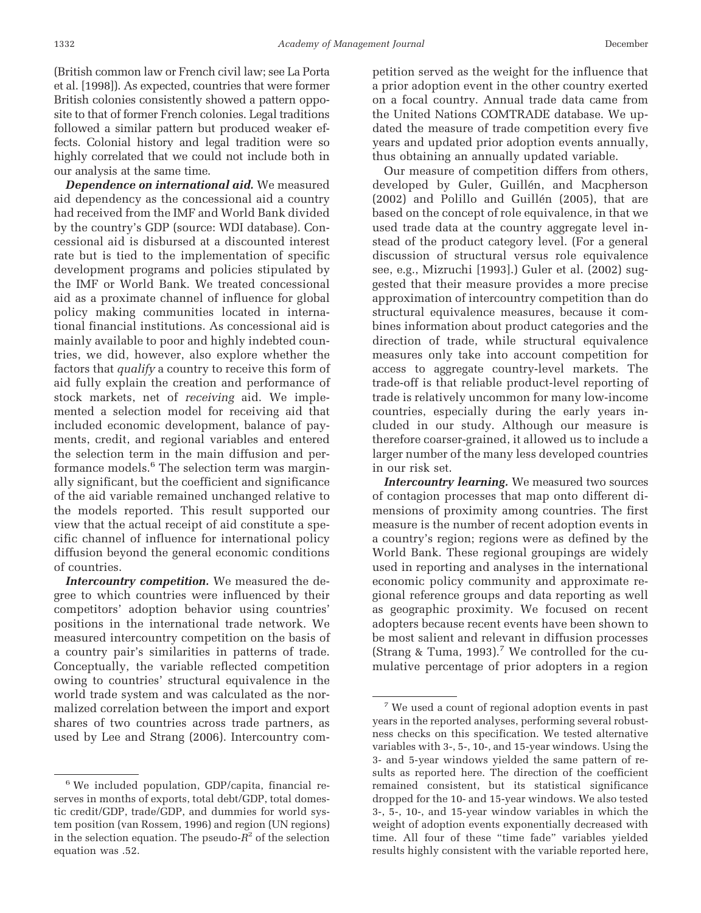(British common law or French civil law; see La Porta et al. [1998]). As expected, countries that were former British colonies consistently showed a pattern opposite to that of former French colonies. Legal traditions followed a similar pattern but produced weaker effects. Colonial history and legal tradition were so highly correlated that we could not include both in our analysis at the same time.

*Dependence on international aid.* We measured aid dependency as the concessional aid a country had received from the IMF and World Bank divided by the country's GDP (source: WDI database). Concessional aid is disbursed at a discounted interest rate but is tied to the implementation of specific development programs and policies stipulated by the IMF or World Bank. We treated concessional aid as a proximate channel of influence for global policy making communities located in international financial institutions. As concessional aid is mainly available to poor and highly indebted countries, we did, however, also explore whether the factors that *qualify* a country to receive this form of aid fully explain the creation and performance of stock markets, net of *receiving* aid. We implemented a selection model for receiving aid that included economic development, balance of payments, credit, and regional variables and entered the selection term in the main diffusion and performance models.<sup>6</sup> The selection term was marginally significant, but the coefficient and significance of the aid variable remained unchanged relative to the models reported. This result supported our view that the actual receipt of aid constitute a specific channel of influence for international policy diffusion beyond the general economic conditions of countries.

*Intercountry competition.* We measured the degree to which countries were influenced by their competitors' adoption behavior using countries' positions in the international trade network. We measured intercountry competition on the basis of a country pair's similarities in patterns of trade. Conceptually, the variable reflected competition owing to countries' structural equivalence in the world trade system and was calculated as the normalized correlation between the import and export shares of two countries across trade partners, as used by Lee and Strang (2006). Intercountry competition served as the weight for the influence that a prior adoption event in the other country exerted on a focal country. Annual trade data came from the United Nations COMTRADE database. We updated the measure of trade competition every five years and updated prior adoption events annually, thus obtaining an annually updated variable.

Our measure of competition differs from others, developed by Guler, Guillén, and Macpherson (2002) and Polillo and Guillén (2005), that are based on the concept of role equivalence, in that we used trade data at the country aggregate level instead of the product category level. (For a general discussion of structural versus role equivalence see, e.g., Mizruchi [1993].) Guler et al. (2002) suggested that their measure provides a more precise approximation of intercountry competition than do structural equivalence measures, because it combines information about product categories and the direction of trade, while structural equivalence measures only take into account competition for access to aggregate country-level markets. The trade-off is that reliable product-level reporting of trade is relatively uncommon for many low-income countries, especially during the early years included in our study. Although our measure is therefore coarser-grained, it allowed us to include a larger number of the many less developed countries in our risk set.

*Intercountry learning.* We measured two sources of contagion processes that map onto different dimensions of proximity among countries. The first measure is the number of recent adoption events in a country's region; regions were as defined by the World Bank. These regional groupings are widely used in reporting and analyses in the international economic policy community and approximate regional reference groups and data reporting as well as geographic proximity. We focused on recent adopters because recent events have been shown to be most salient and relevant in diffusion processes (Strang & Tuma, 1993).<sup>7</sup> We controlled for the cumulative percentage of prior adopters in a region

<sup>6</sup> We included population, GDP/capita, financial reserves in months of exports, total debt/GDP, total domestic credit/GDP, trade/GDP, and dummies for world system position (van Rossem, 1996) and region (UN regions) in the selection equation. The pseudo- $R^2$  of the selection equation was .52.

<sup>7</sup> We used a count of regional adoption events in past years in the reported analyses, performing several robustness checks on this specification. We tested alternative variables with 3-, 5-, 10-, and 15-year windows. Using the 3- and 5-year windows yielded the same pattern of results as reported here. The direction of the coefficient remained consistent, but its statistical significance dropped for the 10- and 15-year windows. We also tested 3-, 5-, 10-, and 15-year window variables in which the weight of adoption events exponentially decreased with time. All four of these "time fade" variables yielded results highly consistent with the variable reported here,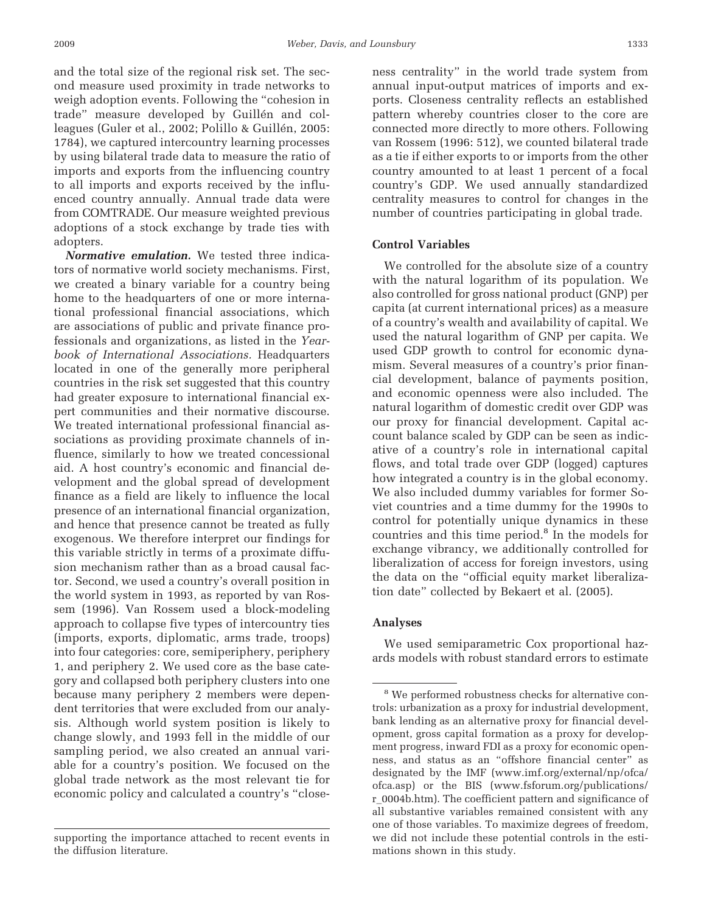and the total size of the regional risk set. The second measure used proximity in trade networks to weigh adoption events. Following the "cohesion in trade" measure developed by Guillén and colleagues (Guler et al., 2002; Polillo & Guillén, 2005: 1784), we captured intercountry learning processes by using bilateral trade data to measure the ratio of imports and exports from the influencing country to all imports and exports received by the influenced country annually. Annual trade data were from COMTRADE. Our measure weighted previous adoptions of a stock exchange by trade ties with adopters.

*Normative emulation.* We tested three indicators of normative world society mechanisms. First, we created a binary variable for a country being home to the headquarters of one or more international professional financial associations, which are associations of public and private finance professionals and organizations, as listed in the *Yearbook of International Associations.* Headquarters located in one of the generally more peripheral countries in the risk set suggested that this country had greater exposure to international financial expert communities and their normative discourse. We treated international professional financial associations as providing proximate channels of influence, similarly to how we treated concessional aid. A host country's economic and financial development and the global spread of development finance as a field are likely to influence the local presence of an international financial organization, and hence that presence cannot be treated as fully exogenous. We therefore interpret our findings for this variable strictly in terms of a proximate diffusion mechanism rather than as a broad causal factor. Second, we used a country's overall position in the world system in 1993, as reported by van Rossem (1996). Van Rossem used a block-modeling approach to collapse five types of intercountry ties (imports, exports, diplomatic, arms trade, troops) into four categories: core, semiperiphery, periphery 1, and periphery 2. We used core as the base category and collapsed both periphery clusters into one because many periphery 2 members were dependent territories that were excluded from our analysis. Although world system position is likely to change slowly, and 1993 fell in the middle of our sampling period, we also created an annual variable for a country's position. We focused on the global trade network as the most relevant tie for economic policy and calculated a country's "close-

supporting the importance attached to recent events in the diffusion literature.

ness centrality" in the world trade system from annual input-output matrices of imports and exports. Closeness centrality reflects an established pattern whereby countries closer to the core are connected more directly to more others. Following van Rossem (1996: 512), we counted bilateral trade as a tie if either exports to or imports from the other country amounted to at least 1 percent of a focal country's GDP. We used annually standardized centrality measures to control for changes in the number of countries participating in global trade.

# **Control Variables**

We controlled for the absolute size of a country with the natural logarithm of its population. We also controlled for gross national product (GNP) per capita (at current international prices) as a measure of a country's wealth and availability of capital. We used the natural logarithm of GNP per capita. We used GDP growth to control for economic dynamism. Several measures of a country's prior financial development, balance of payments position, and economic openness were also included. The natural logarithm of domestic credit over GDP was our proxy for financial development. Capital account balance scaled by GDP can be seen as indicative of a country's role in international capital flows, and total trade over GDP (logged) captures how integrated a country is in the global economy. We also included dummy variables for former Soviet countries and a time dummy for the 1990s to control for potentially unique dynamics in these countries and this time period.8 In the models for exchange vibrancy, we additionally controlled for liberalization of access for foreign investors, using the data on the "official equity market liberalization date" collected by Bekaert et al. (2005).

### **Analyses**

We used semiparametric Cox proportional hazards models with robust standard errors to estimate

<sup>&</sup>lt;sup>8</sup> We performed robustness checks for alternative controls: urbanization as a proxy for industrial development, bank lending as an alternative proxy for financial development, gross capital formation as a proxy for development progress, inward FDI as a proxy for economic openness, and status as an "offshore financial center" as designated by the IMF (www.imf.org/external/np/ofca/ ofca.asp) or the BIS (www.fsforum.org/publications/ r\_0004b.htm). The coefficient pattern and significance of all substantive variables remained consistent with any one of those variables. To maximize degrees of freedom, we did not include these potential controls in the estimations shown in this study.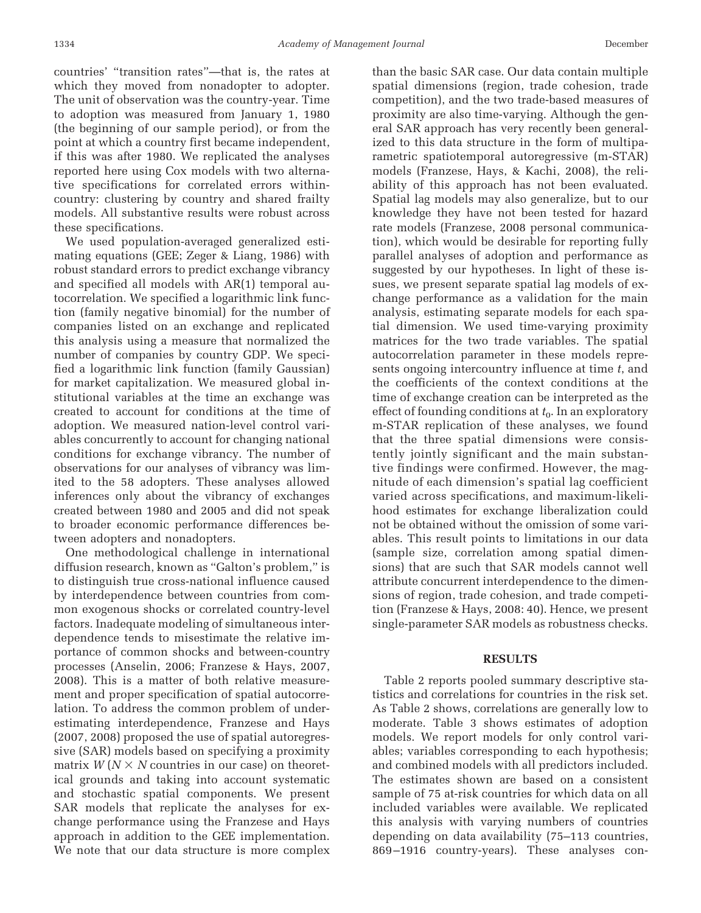countries' "transition rates"—that is, the rates at which they moved from nonadopter to adopter. The unit of observation was the country-year. Time to adoption was measured from January 1, 1980 (the beginning of our sample period), or from the point at which a country first became independent, if this was after 1980. We replicated the analyses reported here using Cox models with two alternative specifications for correlated errors withincountry: clustering by country and shared frailty models. All substantive results were robust across these specifications.

We used population-averaged generalized estimating equations (GEE; Zeger & Liang, 1986) with robust standard errors to predict exchange vibrancy and specified all models with AR(1) temporal autocorrelation. We specified a logarithmic link function (family negative binomial) for the number of companies listed on an exchange and replicated this analysis using a measure that normalized the number of companies by country GDP. We specified a logarithmic link function (family Gaussian) for market capitalization. We measured global institutional variables at the time an exchange was created to account for conditions at the time of adoption. We measured nation-level control variables concurrently to account for changing national conditions for exchange vibrancy. The number of observations for our analyses of vibrancy was limited to the 58 adopters. These analyses allowed inferences only about the vibrancy of exchanges created between 1980 and 2005 and did not speak to broader economic performance differences between adopters and nonadopters.

One methodological challenge in international diffusion research, known as "Galton's problem," is to distinguish true cross-national influence caused by interdependence between countries from common exogenous shocks or correlated country-level factors. Inadequate modeling of simultaneous interdependence tends to misestimate the relative importance of common shocks and between-country processes (Anselin, 2006; Franzese & Hays, 2007, 2008). This is a matter of both relative measurement and proper specification of spatial autocorrelation. To address the common problem of underestimating interdependence, Franzese and Hays (2007, 2008) proposed the use of spatial autoregressive (SAR) models based on specifying a proximity matrix  $W(N \times N)$  countries in our case) on theoretical grounds and taking into account systematic and stochastic spatial components. We present SAR models that replicate the analyses for exchange performance using the Franzese and Hays approach in addition to the GEE implementation. We note that our data structure is more complex

than the basic SAR case. Our data contain multiple spatial dimensions (region, trade cohesion, trade competition), and the two trade-based measures of proximity are also time-varying. Although the general SAR approach has very recently been generalized to this data structure in the form of multiparametric spatiotemporal autoregressive (m-STAR) models (Franzese, Hays, & Kachi, 2008), the reliability of this approach has not been evaluated. Spatial lag models may also generalize, but to our knowledge they have not been tested for hazard rate models (Franzese, 2008 personal communication), which would be desirable for reporting fully parallel analyses of adoption and performance as suggested by our hypotheses. In light of these issues, we present separate spatial lag models of exchange performance as a validation for the main analysis, estimating separate models for each spatial dimension. We used time-varying proximity matrices for the two trade variables. The spatial autocorrelation parameter in these models represents ongoing intercountry influence at time *t*, and the coefficients of the context conditions at the time of exchange creation can be interpreted as the effect of founding conditions at  $t_0$ . In an exploratory m-STAR replication of these analyses, we found that the three spatial dimensions were consistently jointly significant and the main substantive findings were confirmed. However, the magnitude of each dimension's spatial lag coefficient varied across specifications, and maximum-likelihood estimates for exchange liberalization could not be obtained without the omission of some variables. This result points to limitations in our data (sample size, correlation among spatial dimensions) that are such that SAR models cannot well attribute concurrent interdependence to the dimensions of region, trade cohesion, and trade competition (Franzese & Hays, 2008: 40). Hence, we present single-parameter SAR models as robustness checks.

#### **RESULTS**

Table 2 reports pooled summary descriptive statistics and correlations for countries in the risk set. As Table 2 shows, correlations are generally low to moderate. Table 3 shows estimates of adoption models. We report models for only control variables; variables corresponding to each hypothesis; and combined models with all predictors included. The estimates shown are based on a consistent sample of 75 at-risk countries for which data on all included variables were available. We replicated this analysis with varying numbers of countries depending on data availability (75–113 countries, 869 –1916 country-years). These analyses con-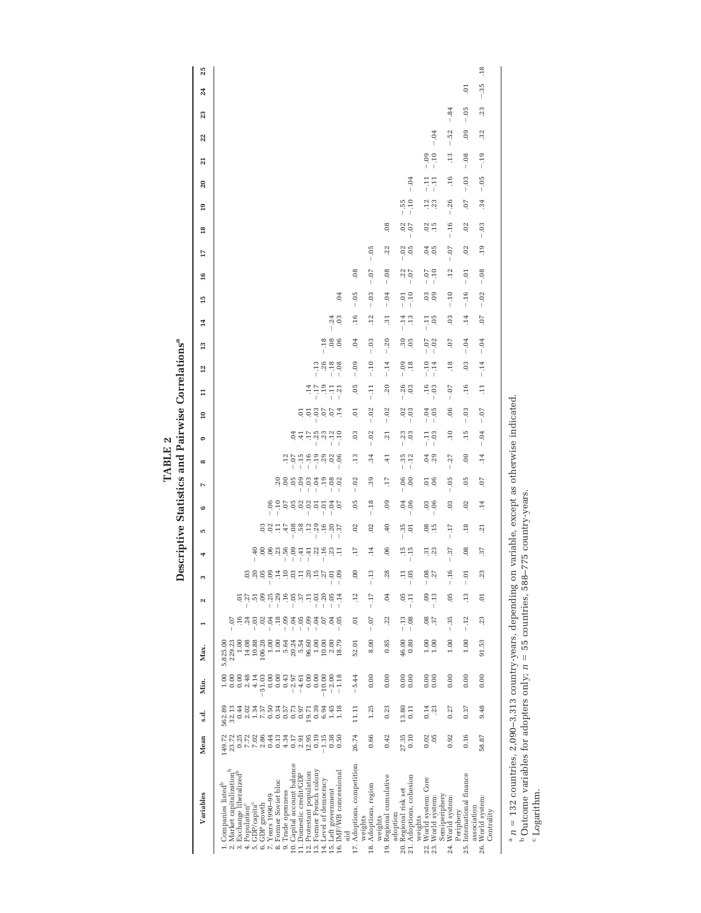|                                                                                                                                                                                                                                                                                                                                                                                                                                                        |                                                                                                                                         |                                                                                                                                  |                                                                                                                                       |                                                                                                                                                |                                                                                                                                                    |                                                                                                                                    |                 | Descriptive Statistics and Pairwise Correlations <sup>ª</sup>             |                          |                                                              |                                                                                      | 7 THTML                                                                                                                        |                                                      |                    |                                |                                    |                    |                        |                                           |                                  |                |                                |                 |                 |                     |        |                |     |
|--------------------------------------------------------------------------------------------------------------------------------------------------------------------------------------------------------------------------------------------------------------------------------------------------------------------------------------------------------------------------------------------------------------------------------------------------------|-----------------------------------------------------------------------------------------------------------------------------------------|----------------------------------------------------------------------------------------------------------------------------------|---------------------------------------------------------------------------------------------------------------------------------------|------------------------------------------------------------------------------------------------------------------------------------------------|----------------------------------------------------------------------------------------------------------------------------------------------------|------------------------------------------------------------------------------------------------------------------------------------|-----------------|---------------------------------------------------------------------------|--------------------------|--------------------------------------------------------------|--------------------------------------------------------------------------------------|--------------------------------------------------------------------------------------------------------------------------------|------------------------------------------------------|--------------------|--------------------------------|------------------------------------|--------------------|------------------------|-------------------------------------------|----------------------------------|----------------|--------------------------------|-----------------|-----------------|---------------------|--------|----------------|-----|
| Variables                                                                                                                                                                                                                                                                                                                                                                                                                                              | Mean                                                                                                                                    | s.d.                                                                                                                             | Min.                                                                                                                                  | Max.                                                                                                                                           | T                                                                                                                                                  | $\mathbf{N}$                                                                                                                       | S               | ₩                                                                         | Ю                        | 6                                                            | Z                                                                                    | $\infty$                                                                                                                       | e                                                    | $\overline{10}$    | $\Xi$                          | 12                                 | 13                 | $^{14}$                | 15                                        | 17<br>16                         | 18             | 19                             | $\overline{20}$ | ন্ন             | 22                  | 23     | 24             | 25  |
| 10. Capital account balance<br>13. Former French colony<br>12. Protestant population<br>16. IMF/WB concessional<br>Market capitalization<br>3. Exchange liberalized<br>11. Domestic credit/GDP<br>14. Level of democracy<br>8. Former Soviet bloc<br>Companies listed <sup>b</sup><br>15. Left government<br>Trade openness<br>7. Years 1990-99<br>$5.$ GDP/capita $^{\rm c}$ 6. GDP growth<br>4. Population <sup>c</sup><br>Эä<br>$\frac{1}{2}$<br>o, | $7.02$<br>$2.86$<br>0.13<br>0.25<br>7.72<br>0.44<br>0.17<br>12.95<br>0.19<br>$-1.15$<br>0.38<br>149.72<br>23.72<br>4.34<br>0.50<br>2.91 | 7.37<br>0.57<br>0.73<br>32.13<br>0.44<br>2.02<br>1.34<br>0.50<br>0.34<br>0.97<br>0.39<br>6.94<br>1.45<br>1.18<br>19.71<br>562.89 | 0.43<br>2.48<br>4.14<br>51.03<br>0.00<br>0.00<br>$-2.97$<br>0.00<br>0.00<br>$-10.00$<br>$-2.00$<br>0.00<br>0.00<br>$-4.61$<br>$-1.18$ | $1.00\,$<br>5.54<br>1.00<br>14.08<br>10.88<br>106.28<br>1.00<br>5.64<br>20.24<br>96.60<br>1.00<br>10.00<br>2.00<br>229.23<br>18.79<br>5,825.00 | $-0.9$<br>.24<br>$-0.04$<br>.18<br>$-0.09$<br>$-0.05$<br>$-0.4$<br>$\frac{16}{1}$<br>$-0.03$<br>.02<br>$\overline{0}$ .<br>.04<br>$-0.5$<br>$-0.7$ | $-16$<br>$-105$<br>$-37$<br>$-0.3$<br>09<br>$-29$<br>$\Xi$<br>$-0.20$<br>$-25$<br>$-0.5$<br>E,<br>$-27$<br>$\frac{51}{2}$<br>$-14$ |                 | 1<br>8883188<br>88888<br>.22<br>$-18$<br>$-13$<br>$-11$<br>$-41$<br>$-41$ |                          | $-10$<br>0.58<br>$-0.2$<br>$-0.06$<br>$-0.1$<br>$-0.4$<br>07 | a<br>a<br>a<br>a<br>a<br>a<br>a<br>a<br>a<br><br>$-0.03$<br>.19<br>$-0.08$<br>$-.02$ | $\begin{array}{cccc}\n5 & 1 & 1 & 1 & 1 & 1 \\ -1 & 1 & 1 & 1 & 1 & 1 \\ 1 & 1 & 1 & 1 & 1 & 1\n\end{array}$<br>.12<br>$-0.06$ | $-35$<br>$-25$<br>$-12$<br>04<br>$-10$<br>$\ddot{=}$ | a a a a a<br>E     | .19<br>$-17$<br>$-11$<br>$-21$ | $-13$<br>$-26$<br>$-.18$<br>$-0.8$ | 0.08<br>$-0.18$    | $3^{4}_{0}$            | $\Xi$                                     |                                  |                |                                |                 |                 |                     |        |                |     |
| 17. Adoptions, competition                                                                                                                                                                                                                                                                                                                                                                                                                             | 26.74                                                                                                                                   | 11.11                                                                                                                            | $-5.44$                                                                                                                               | 52.01                                                                                                                                          | FO.                                                                                                                                                | .12                                                                                                                                | OO.             | $\ddot{17}$                                                               | .02                      | $\ddot{0}$                                                   | $-.02$                                                                               | $\frac{13}{2}$                                                                                                                 | 03                                                   | 5.                 | 0.5                            | $-0.09$                            | .04                | .16                    | $-0.05$                                   | $\ddot{\circ}$                   |                |                                |                 |                 |                     |        |                |     |
| Adoptions, region<br>weights<br>weights<br>18.                                                                                                                                                                                                                                                                                                                                                                                                         | 0.66                                                                                                                                    | 1.25                                                                                                                             | 0.00                                                                                                                                  | 8.00                                                                                                                                           | $-0.07$                                                                                                                                            | $-17$                                                                                                                              | $-.13$          | .14                                                                       | .02                      | $-.18$                                                       | 39                                                                                   | 34                                                                                                                             | $-.02$                                               | $-.02$             | $-11$                          | $-.10$                             | $-.03$             | $\overline{12}$        | $-0.3$                                    | $-0.05$<br>$-0.07$               |                |                                |                 |                 |                     |        |                |     |
| Regional cumulative<br>adoption<br>19.                                                                                                                                                                                                                                                                                                                                                                                                                 | 0.42                                                                                                                                    | 0.23                                                                                                                             | 0.00                                                                                                                                  | 0.85                                                                                                                                           | .22                                                                                                                                                | 04                                                                                                                                 | .28             | .06                                                                       | 40                       | 09                                                           | $\ddot{17}$                                                                          | $-41$                                                                                                                          | $\overline{21}$                                      | $-.02$             | .20                            | $-14$                              | $-.20$             | $\overline{31}$        | $-0.04$                                   | $-0.08$                          | .22            | $\ddot{0}$                     |                 |                 |                     |        |                |     |
| Adoptions, cohesion<br>Regional risk set<br>weights<br>20.21                                                                                                                                                                                                                                                                                                                                                                                           | 27.35<br>0.10                                                                                                                           | 13.80<br>0.11                                                                                                                    | 0.00<br>0.00                                                                                                                          | 46.00<br>0.80                                                                                                                                  | $-.13$<br>$-0.08$                                                                                                                                  | $-0.5$<br>$\frac{1}{2}$                                                                                                            | $-0.5$<br>$\Xi$ | $-15$<br>$-15$                                                            | $-.35$<br>$\overline{0}$ | $-0.4$                                                       | $-0.06$<br>00                                                                        | $-35$<br>$-12$                                                                                                                 | $-.23$<br>03                                         | $-0.03$            | $-26$<br>03                    | $-0.09$<br>.18                     | 30000              | $-.14$<br>$\ddot{.}13$ | $-10$<br>$-0.1$                           | $-0.02$<br>$-0.07$               |                | $-155$<br>$-10$<br>$0^{2}_{0}$ | $-0.04$         |                 |                     |        |                |     |
| World system: Core<br>22. World system:<br>23. World system:                                                                                                                                                                                                                                                                                                                                                                                           | 0.02<br>.05                                                                                                                             | 0.14<br>23                                                                                                                       |                                                                                                                                       | 1.00<br>001.1                                                                                                                                  | 0.87                                                                                                                                               | $-.13$<br>80.                                                                                                                      | $-0.8$<br>$-27$ | $\frac{31}{23}$                                                           | 08, 15                   | $-0.06$                                                      | $\frac{5}{10}$                                                                       | 0, 29                                                                                                                          | $-0.3$<br>$-111$                                     | $-0.04$<br>$-0.05$ | $-16$<br>$-103$                | $-10$<br>$-.14$                    | $-0.07$<br>$-0.02$ | $-11$<br>$-11$         | $\begin{array}{c} 0.0 \\ 0.0 \end{array}$ | $-10$<br>$-10$                   | 0.05           | $\frac{12}{23}$<br>$02_{.15}$  | $-11$<br>$-111$ | $-109$<br>$-10$ | $-0.04$             |        |                |     |
| Semiperiphery<br>World system:<br>Periphery<br>24.                                                                                                                                                                                                                                                                                                                                                                                                     | 0.92                                                                                                                                    | 0.27                                                                                                                             | 0.00                                                                                                                                  | 1.00                                                                                                                                           | $-.35$                                                                                                                                             | 05                                                                                                                                 | $-16$           | $-.37$                                                                    | $-17$                    | $\overline{0}$                                               | $-0.5$                                                                               | .27                                                                                                                            | $\overline{10}$                                      | 06                 | $-0.7$                         | .18                                | $\sim$             | $\ddot{0}$             | $-10$                                     | $-0.07$<br>$\cdot$ <sup>12</sup> | $-16$          | $-.26$                         | .16             | $\frac{13}{2}$  | .52<br>$\mathbf{I}$ | $-.84$ |                |     |
| International finance<br>association<br>25.                                                                                                                                                                                                                                                                                                                                                                                                            | 0.16                                                                                                                                    | 0.37                                                                                                                             | 0.00                                                                                                                                  | 1.00                                                                                                                                           | $-.12$                                                                                                                                             | $\frac{3}{2}$                                                                                                                      | $-0.1$          | 08                                                                        | .18                      | $\approx$                                                    | 05                                                                                   | 00                                                                                                                             | $\frac{15}{1}$                                       | $-0.3$             | .16                            | 03                                 | $-0.04$            | .14                    | $-0.01$<br>$-16$                          |                                  | .02            | -07<br>02                      | $-0.03$         | $-0.08$         | $_{09}$             | $-0.5$ | $\overline{c}$ |     |
| World system:<br>Centrality<br>26.                                                                                                                                                                                                                                                                                                                                                                                                                     | 58.87                                                                                                                                   | 9.48                                                                                                                             | 0.00                                                                                                                                  | 91.53                                                                                                                                          | .23                                                                                                                                                | $\overline{0}$                                                                                                                     | 23              | .37                                                                       | $\overline{z}$           | $\overline{14}$                                              | 50.                                                                                  | .14                                                                                                                            | $-0.4$                                               | $-0.07$            | $\overline{11}$                | $-.14$                             | $-0.04$            | -07                    | $-.02$                                    | $-0.08$                          | $-0.03$<br>.19 | $\ddot{34}$                    | $-0.5$          | $-.19$          | 32                  | .23    | $-35$          | .18 |
| $n = 132$ countries, 2,090-3,313 country-years, dependin<br>$b$ Outcome variables for adopters only; $n = 55$ countries,<br>i<br>$\frac{1}{2}$                                                                                                                                                                                                                                                                                                         |                                                                                                                                         |                                                                                                                                  |                                                                                                                                       |                                                                                                                                                |                                                                                                                                                    |                                                                                                                                    |                 | g on variable, except as otherwise indicated<br>588-775 country-years     |                          |                                                              |                                                                                      |                                                                                                                                |                                                      |                    |                                |                                    |                    |                        |                                           |                                  |                |                                |                 |                 |                     |        |                |     |

Logarithm.

 $\begin{array}{c} \textbf{TABLE 2} \\ \textbf{1.1.1.1.2.2}\\ \textbf{1.2.1.3.3.5}\\ \textbf{1.3.1.5.5}\\ \textbf{2.1.1.5.5}\\ \textbf{3.1.1.5.5}\\ \textbf{4.2.1.5.5}\\ \textbf{5.3.1.5.5}\\ \textbf{6.4.1.5.5}\\ \textbf{7.4.1.5.5}\\ \textbf{8.5.1.5.5}\\ \textbf{9.6.1.5.5}\\ \textbf{1.1.5.5.5}\\ \textbf{1.2.1.5.5}\\ \textbf{1.3.1.5.5}\\ \textbf{$ **TABLE 2**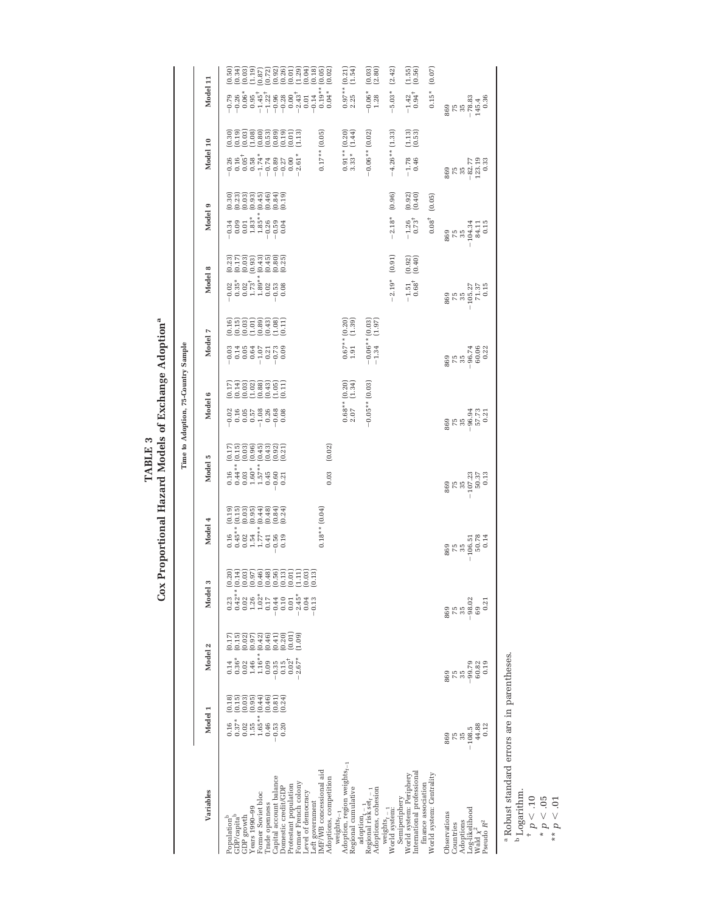TABLE 3<br>Cox Proportional Hazard Models of Exchange Adoption<sup>a</sup> **Cox Proportional Hazard Models of Exchange Adoptiona TABLE 3**

|                                                                                                                                                                                                                                                                                                             |                                                                                                                                              |                                                                                                                                                                                                                                       |                                                                                                                                                                                       |                                                                        |                                                                                                      | Time to Adoption, 75-Country Sample                                              |                                                                         |                                                        |                                                                                       |                                                                                                                                                                      |                                                                     |
|-------------------------------------------------------------------------------------------------------------------------------------------------------------------------------------------------------------------------------------------------------------------------------------------------------------|----------------------------------------------------------------------------------------------------------------------------------------------|---------------------------------------------------------------------------------------------------------------------------------------------------------------------------------------------------------------------------------------|---------------------------------------------------------------------------------------------------------------------------------------------------------------------------------------|------------------------------------------------------------------------|------------------------------------------------------------------------------------------------------|----------------------------------------------------------------------------------|-------------------------------------------------------------------------|--------------------------------------------------------|---------------------------------------------------------------------------------------|----------------------------------------------------------------------------------------------------------------------------------------------------------------------|---------------------------------------------------------------------|
| Variables                                                                                                                                                                                                                                                                                                   | Model 1                                                                                                                                      | Model 2                                                                                                                                                                                                                               | s<br>Model                                                                                                                                                                            | Model 4                                                                | Model 5                                                                                              | Model 6                                                                          | Model 7                                                                 | Model 8                                                | Model 9                                                                               | Model 10                                                                                                                                                             | Model 11                                                            |
| MF/WB concessional aid<br>Capital account balance<br>Adoptions, competition<br>Protestant population<br>Former French colony<br>Jomestic credit/GDP<br>Level of democracy<br>Former Soviet bloc<br>Left government<br>rade openness<br>Years 1990-99<br>GDP growth<br>GDP/capita <sup>t</sup><br>Population | ទី២៩៩១<br>ខេត្តវីទីខ្ម<br>(0.15)<br>(0.24)<br>$\begin{array}{c} 0.02 \\ 1.55 \\ 1.65 \end{array}$<br>$0.37*$<br>0.46<br>0.53<br>0.20<br>0.16 | (0.01)<br>(0.15)<br>$_{(0.07)}^{(0.02)}$<br>(0.42)<br>(0.46)<br>(0.41)<br>(0.20)<br>(1.09)<br>(0.17)<br>$\begin{array}{c} 1.46 \\ 1.16^{**} \\ 0.09 \\ -0.35 \end{array}$<br>$0.36*$<br>$2.67*$<br>0.02<br>$0.02^{+}$<br>0.15<br>0.14 | stere and de la signa<br>Stere and de la signa<br>Stere and de la signa<br>$0.23$<br>$0.42**$<br>$0.28$ $0.26$ $0.02$ $0.074$ $0.044$<br>$-2.45*$<br>$0.10$<br>$0.01$<br>0.04<br>0.13 | $0.18**$ $(0.04)$<br>enseara<br>Enseara<br>Enseara                     | (0.02)<br>assetää<br>Essetää<br>0.16<br>0.44 **<br>0.60 *<br>1.57 **<br>0.60<br>0.21<br>0.21<br>0.03 | rassage<br>Lise<br>Reference                                                     | ensaggen<br>Ensaggen                                                    |                                                        | ត្តក្តួតធុតុត្ត<br>តួតួចិត្តមុតុត្ត<br>ទី១១១១១១១                                      | $0.17**$ (0.05)<br>ana ang ang<br>Sangan<br>Sangang ang ang<br>$-0.26$ $-0.05$ $0.05$ $0.05$ $-0.05$ $-0.05$ $-0.05$ $-0.05$ $-0.05$ $-0.05$ $-0.05$ $-0.05$ $-0.05$ |                                                                     |
| $\mathsf{weights}_{t-1}$ $\mathsf{Adophon}, \mathsf{region} \text{ weights}_{t-1}$<br>Regional cumulative                                                                                                                                                                                                   |                                                                                                                                              |                                                                                                                                                                                                                                       |                                                                                                                                                                                       |                                                                        |                                                                                                      | $\begin{array}{cc} 0.68^{**} \, (0.20) \\ 2.07 & (1.34) \end{array}$<br>$2.07\,$ | $\begin{array}{cc} 0.67^{**}\ (0.20) \\ 1.91 \qquad (1.39) \end{array}$ |                                                        |                                                                                       | $0.91**$ $(0.20)$<br>3.33* $(1.44)$                                                                                                                                  | $0.97**$ $(0.21)$<br>2.25 $(1.54)$                                  |
| Adoptions, cohesion<br>$\frac{\text{adoption}_t - 1}{\text{Regional risk} \cdot \text{set}_t - 1}$                                                                                                                                                                                                          |                                                                                                                                              |                                                                                                                                                                                                                                       |                                                                                                                                                                                       |                                                                        |                                                                                                      | $-0.05**$ (0.03)                                                                 | $\begin{array}{c} -0.06** (0.03) \\ -1.34 \end{array}$                  |                                                        |                                                                                       | $-0.06**$ (0.02)                                                                                                                                                     | $\begin{array}{c} (0.03) \\ (2.80) \end{array}$<br>$-0.06*$<br>1.28 |
| Semiperiphery<br>weights $_{t-1}$<br>World system:                                                                                                                                                                                                                                                          |                                                                                                                                              |                                                                                                                                                                                                                                       |                                                                                                                                                                                       |                                                                        |                                                                                                      |                                                                                  |                                                                         | $-2.19*$ (0.91)                                        | (0.96)<br>$-2.18*$                                                                    | $-4.26**$ (1.33)                                                                                                                                                     | (2.42)<br>$-5.03*$                                                  |
| international professional<br>World system: Periphery<br>finance association                                                                                                                                                                                                                                |                                                                                                                                              |                                                                                                                                                                                                                                       |                                                                                                                                                                                       |                                                                        |                                                                                                      |                                                                                  |                                                                         | $(0.92)$<br>$(0.40)$<br>$-1.51$<br>$0.68$ <sup>+</sup> | $(0.92)$<br>$(0.40)$<br>$-1.26$<br>0.73 <sup>+</sup>                                  | $(1.13)$<br>$(0.53)$<br>$-1.78$<br>0.46                                                                                                                              | $(1.55)$<br>$(0.56)$<br>$-1.42$<br>0.94 <sup>+</sup>                |
| World system: Centrality                                                                                                                                                                                                                                                                                    |                                                                                                                                              |                                                                                                                                                                                                                                       |                                                                                                                                                                                       |                                                                        |                                                                                                      |                                                                                  |                                                                         |                                                        | (0.05)<br>$0.08^{+}$                                                                  |                                                                                                                                                                      | (0.07)<br>$0.15*$                                                   |
| Log-likelihood<br>Observations<br>Adoptions<br>Pseudo $\mathbb{R}^2$<br>Countries<br>Wald $\chi^2$                                                                                                                                                                                                          | 44.88<br>0.12<br>$-108.5$<br><b>75</b><br>35<br>869                                                                                          | 0.19<br>$-99.79$<br>60.82<br>75<br>35<br>869                                                                                                                                                                                          | $75$<br>$75$<br>$-36$<br>$-69$<br>$-69$<br>0.21<br>869                                                                                                                                | $\begin{array}{r} 869 \\ 755 \\ 35 \\ -106.51 \\ 50.78 \\ \end{array}$ | $75\n75\n75\n-107.23\n50.37\n50.37$                                                                  | $0.518$ $0.730$ $0.730$ $0.730$ $0.730$                                          | 889<br>58.74 367<br>60.22                                               | $759\n75\n75\n75.27\n-105.27\n71.37\n0.15$             | $\begin{array}{r} 869 \\ 755 \\ 755 \\ -104.34 \\ 84.11 \\ 84.11 \\ 0.15 \end{array}$ | $\begin{matrix} 699 \\ 755 \\ 362.77 \\ -123.3 \\ 0.33 \end{matrix}$                                                                                                 | $869$<br>$78.83$<br>$743.36$<br>$145.36$                            |

Robust standard errors are in parentheses.

a Robust st<br>
<sup>b</sup>Logarithr<br>
<sup>+</sup> *p* < .05<br>
\*\* *p* < .05<br>
\*\* *p* < .01 b Logarithm.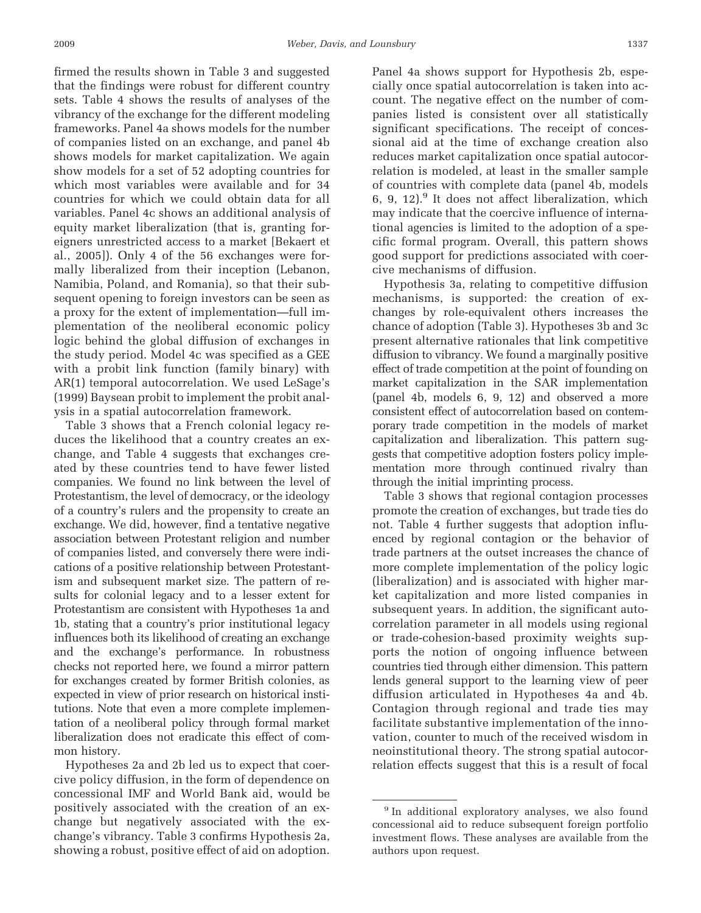firmed the results shown in Table 3 and suggested that the findings were robust for different country sets. Table 4 shows the results of analyses of the vibrancy of the exchange for the different modeling frameworks. Panel 4a shows models for the number of companies listed on an exchange, and panel 4b shows models for market capitalization. We again show models for a set of 52 adopting countries for which most variables were available and for 34 countries for which we could obtain data for all variables. Panel 4c shows an additional analysis of equity market liberalization (that is, granting foreigners unrestricted access to a market [Bekaert et al., 2005]). Only 4 of the 56 exchanges were formally liberalized from their inception (Lebanon, Namibia, Poland, and Romania), so that their subsequent opening to foreign investors can be seen as a proxy for the extent of implementation—full implementation of the neoliberal economic policy logic behind the global diffusion of exchanges in the study period. Model 4c was specified as a GEE with a probit link function (family binary) with AR(1) temporal autocorrelation. We used LeSage's (1999) Baysean probit to implement the probit analysis in a spatial autocorrelation framework.

Table 3 shows that a French colonial legacy reduces the likelihood that a country creates an exchange, and Table 4 suggests that exchanges created by these countries tend to have fewer listed companies. We found no link between the level of Protestantism, the level of democracy, or the ideology of a country's rulers and the propensity to create an exchange. We did, however, find a tentative negative association between Protestant religion and number of companies listed, and conversely there were indications of a positive relationship between Protestantism and subsequent market size. The pattern of results for colonial legacy and to a lesser extent for Protestantism are consistent with Hypotheses 1a and 1b, stating that a country's prior institutional legacy influences both its likelihood of creating an exchange and the exchange's performance. In robustness checks not reported here, we found a mirror pattern for exchanges created by former British colonies, as expected in view of prior research on historical institutions. Note that even a more complete implementation of a neoliberal policy through formal market liberalization does not eradicate this effect of common history.

Hypotheses 2a and 2b led us to expect that coercive policy diffusion, in the form of dependence on concessional IMF and World Bank aid, would be positively associated with the creation of an exchange but negatively associated with the exchange's vibrancy. Table 3 confirms Hypothesis 2a, showing a robust, positive effect of aid on adoption.

Panel 4a shows support for Hypothesis 2b, especially once spatial autocorrelation is taken into account. The negative effect on the number of companies listed is consistent over all statistically significant specifications. The receipt of concessional aid at the time of exchange creation also reduces market capitalization once spatial autocorrelation is modeled, at least in the smaller sample of countries with complete data (panel 4b, models 6, 9, 12). $9$  It does not affect liberalization, which may indicate that the coercive influence of international agencies is limited to the adoption of a specific formal program. Overall, this pattern shows good support for predictions associated with coercive mechanisms of diffusion.

Hypothesis 3a, relating to competitive diffusion mechanisms, is supported: the creation of exchanges by role-equivalent others increases the chance of adoption (Table 3). Hypotheses 3b and 3c present alternative rationales that link competitive diffusion to vibrancy. We found a marginally positive effect of trade competition at the point of founding on market capitalization in the SAR implementation (panel 4b, models 6, 9, 12) and observed a more consistent effect of autocorrelation based on contemporary trade competition in the models of market capitalization and liberalization. This pattern suggests that competitive adoption fosters policy implementation more through continued rivalry than through the initial imprinting process.

Table 3 shows that regional contagion processes promote the creation of exchanges, but trade ties do not. Table 4 further suggests that adoption influenced by regional contagion or the behavior of trade partners at the outset increases the chance of more complete implementation of the policy logic (liberalization) and is associated with higher market capitalization and more listed companies in subsequent years. In addition, the significant autocorrelation parameter in all models using regional or trade-cohesion-based proximity weights supports the notion of ongoing influence between countries tied through either dimension. This pattern lends general support to the learning view of peer diffusion articulated in Hypotheses 4a and 4b. Contagion through regional and trade ties may facilitate substantive implementation of the innovation, counter to much of the received wisdom in neoinstitutional theory. The strong spatial autocorrelation effects suggest that this is a result of focal

<sup>&</sup>lt;sup>9</sup> In additional exploratory analyses, we also found concessional aid to reduce subsequent foreign portfolio investment flows. These analyses are available from the authors upon request.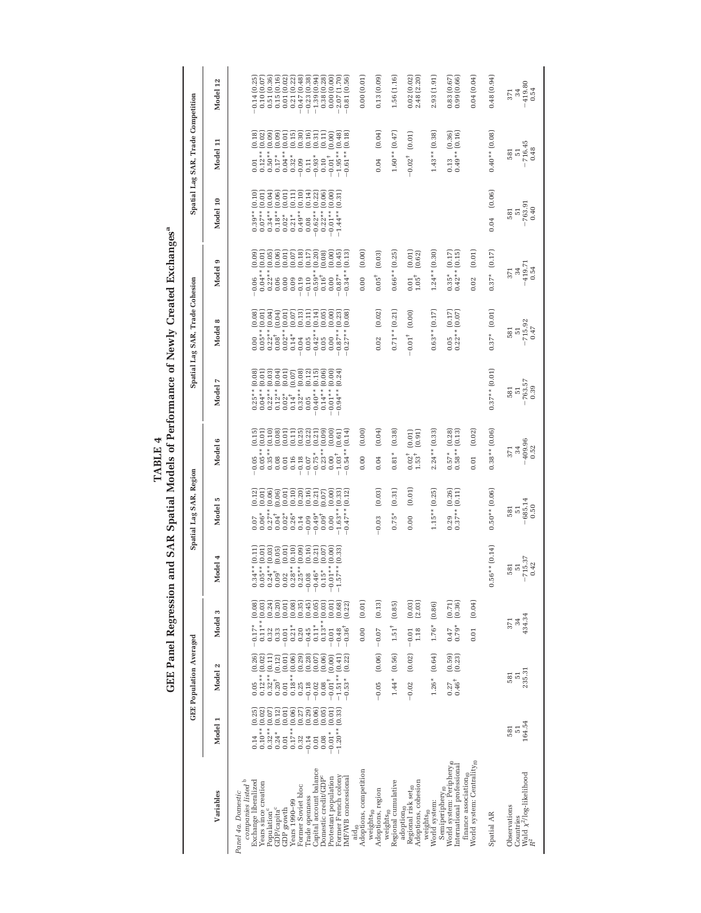GEE Panel Regression and SAR Spatial Models of Performance of Newly Created Exchanges<sup>a</sup> **TABLE 4**

|                                                                                              |                                      | <b>GEE Population Averaged</b>                   |                                            |                                              | Spatial Lag SAR, Region                                       |                                                    |                                                                                | Spatial Lag SAR, Trade Cohesion                                 |                                                                     |                                             | Spatial Lag SAR, Trade Competition               |                                                                |
|----------------------------------------------------------------------------------------------|--------------------------------------|--------------------------------------------------|--------------------------------------------|----------------------------------------------|---------------------------------------------------------------|----------------------------------------------------|--------------------------------------------------------------------------------|-----------------------------------------------------------------|---------------------------------------------------------------------|---------------------------------------------|--------------------------------------------------|----------------------------------------------------------------|
| Variables                                                                                    | Model                                | $\mathbf{N}$<br>Model                            | s<br>Model                                 | 4<br>Model                                   | ю<br>Model                                                    | $\bullet$<br>Model                                 | Model 7                                                                        | $\infty$<br>Model                                               | Φ<br>Model                                                          | Model 10                                    | Model 11                                         | Model 12                                                       |
| Panel 4a. Domestic                                                                           |                                      |                                                  |                                            |                                              |                                                               |                                                    |                                                                                |                                                                 |                                                                     |                                             |                                                  |                                                                |
| companies listed <sup>b</sup><br>Exchange liberalized                                        | (0.25)<br>0.14                       | (0.26)<br>0.05                                   | $-0.17*$ (0.08)                            | $0.34**$ $(0.11)$                            | 0.07                                                          | (0.15)<br>0.05                                     |                                                                                |                                                                 | (0.09)                                                              |                                             | (0.18)<br>0.01                                   | 0.14(0.25)                                                     |
| Years since creation                                                                         | $0.10**$ (0.02)                      | (0.02)<br>$0.12**$                               | $0.11**$ $(0.03)$                          | $0.05**$ (0.01                               | $\begin{matrix} 0.12 \\ 0.01 \\ 0.06 \end{matrix}$<br>$0.06*$ | (0.01)<br>$0.05**$                                 | $\begin{array}{c} 0.25** (0.08) \\ 0.04** (0.01) \\ 0.22** (0.03) \end{array}$ | $\begin{array}{cc} 0.00 & (0.08) \\ 0.05**& (0.01) \end{array}$ | (0.01)<br>$-0.06$ $(0.04**)$                                        | $0.39**$ $(0.10)$<br>$0.07**$ $(0.01)$      | (0.02)<br>$0.12**$                               | 0.10(0.07)                                                     |
| Population <sup>c</sup>                                                                      | $0.32**$ (0.07)                      | (0.11)<br>$0.32**$<br>$0.20^{+}$                 | (0.24)<br>0.32                             | (0.03)<br>$0.24**$ (<br>0.09 <sup>†</sup> (  | (0.06)<br>$0.27**$<br>$0.04^+$                                | (0.10)<br>$0.35**$                                 | $0.12**$                                                                       | $0.22**$ $(0.04)$<br>$0.08*$ $(0.04)$                           | (0.05)<br>$0.22**$                                                  | $0.34**$ $(0.04)$                           | (0.09)<br>$0.50**$                               | 0.51 (0.36)                                                    |
| GDP/capita <sup>c</sup><br>GDP growth                                                        | (0.12)<br>(0.01)<br>$0.24*$<br>0.01  | (0.01)<br>(0.12)<br>0.01                         | (0.20)<br>(0.01)<br>0.33<br>$-0.01$        | (0.01)<br>(0.05)                             | (0.01)<br>$0.02*$                                             | (0.08)<br>(0.01)<br>0.08<br>0.01                   | 3600<br>1999<br>1999<br>$0.02*$                                                | (0.01)<br>$0.02**$                                              | (0.06)<br>(0.01)<br>0.00                                            | $0.011$<br>$0.011$<br>$0.18**$<br>$0.02*$   | (0.09)<br>(0.01)<br>$0.04**$<br>$0.17*$          | 0.15(0.16)<br>0.01(0.02)                                       |
| Years 1990-99                                                                                | (0.06)<br>$0.17**$                   | (0.06)<br>$0.18**$                               | (0.08)<br>$0.21*$                          | (0.10)<br>$0.02$<br>$0.28**$                 | (0.10)<br>$0.26*$                                             | (0.11)<br>0.16                                     | $0.14^{+}$                                                                     | (0.07)<br>$0.14*$                                               | (0.07)<br>0.09                                                      | $0.21*$                                     | (0.15)<br>$0.32*$                                | 0.21(0.22)                                                     |
| Former Soviet bloc<br>Trade openness                                                         | (0.29)<br>(0.27)<br>0.32<br>$-0.14$  | (0.29)<br>(0.28)<br>0.25<br>$-0.18$              | (0.35)<br>(0.45)<br>0.20<br>$-0.45$        | (0.09)<br>(0.16)<br>$0.25**$<br>$-0.08$      | $(0.20)$<br>$(0.16)$<br>$-0.14$                               | $(0.25)$<br>$(0.22)$<br>$-0.18$<br>$-0.07$         | (0.08)<br>(0.12)<br>$0.32**$<br>0.05                                           | (0.13)<br>(0.11)<br>$0.05\,$<br>$-0.04$                         | (0.18)<br>(0.17)<br>$-0.19$<br>$-0.10$                              | (0.10)<br>(0.14)<br>$0.49**$<br>0.08        | $(0.30)$<br>$(0.16)$<br>0.09<br>0.11             | $\begin{array}{c} -0.47\ (0.48) \\ -0.23\ (0.38) \end{array}$  |
| Capital account balance                                                                      | (0.06)<br>0.01                       | (0.07)<br>$-0.02$                                | (0.05)<br>$0.11*$                          | (0.21)<br>$-0.46*$                           | (0.21)<br>$-0.49*$                                            | (0.21)<br>$-0.75*$                                 | (0.15)<br>$0.40**$                                                             | (0.14)<br>$-0.42**$                                             | (0.20)<br>$-0.59**$                                                 | (0.22)<br>$-0.62**$                         | (0.31)<br>$-0.93*$                               | $\begin{array}{c} -1.39 \ (0.94) \\ 0.38 \ (0.28) \end{array}$ |
| Domestic credit/GDP <sup>c</sup><br>Protestant population                                    | (0.05)<br>(0.01)<br>$-0.01*$<br>0.08 | (0.06)<br>(0.00)<br>$-0.01$ <sup>+</sup><br>0.08 | (0.03)<br>(0.01)<br>$0.13**$<br>$-0.01$    | $(0.07)$<br>$(0.00)$<br>$-0.01**$<br>$0.15*$ | (0.00)<br>(0.07)<br>$0.09^\dagger$<br>0.00                    | (0.09)<br>(0.00)<br>$0.23**$<br>0.00               | (0.06)<br>$-0.01**$ $(0.00)$<br>$0.14***$                                      | (0.05)<br>(0.00)<br>0.00<br>$0.05\,$                            | (0.00)<br>(0.08)<br>$0.16^+$<br>0.00                                | (0.06)<br>(0.00)<br>$-0.01**$<br>$0.22**$   | (0.11)<br>(0.00)<br>$-0.01$ <sup>+</sup><br>0.10 | 0.00(0.00)                                                     |
| Former French colony<br>IMF/WB concessional                                                  | $-1.20**$ (0.33)                     | (0.22)<br>(0.41)<br>$-1.51**$<br>$-0.53*$        | (0.68)<br>(0.22)<br>$-0.36^{+}$<br>$-0.48$ | $-1.57**$ (0.33)                             | (0.33)<br>(0.12)<br>$-0.47**$<br>$-1.63**$                    | (0.14)<br>(0.61)<br>$-0.54**$<br>$-1.03^{\dagger}$ | $-0.94**$ $(0.24)$                                                             | (0.23)<br>(0.08)<br>$-0.87**$<br>$0.27**$                       | (0.45)<br>(0.13)<br>$-0.34**$<br>$-0.87*$                           | (0.31)<br>$-1.44**$                         | (0.48)<br>(0.18)<br>$-1.95**$<br>$-0.61**$       | 2.07 (1.70)<br>$-0.81(0.56)$                                   |
| Adoptions, competition<br>$_{\rm aid_0}$                                                     |                                      |                                                  | (0.01)<br>0.00                             |                                              |                                                               | (0.00)<br>0.00                                     |                                                                                |                                                                 | (0.00)<br>0.00                                                      |                                             |                                                  | 0.00(0.01)                                                     |
| weights <sub>to</sub>                                                                        |                                      |                                                  |                                            |                                              |                                                               |                                                    |                                                                                |                                                                 |                                                                     |                                             |                                                  |                                                                |
| Adoptions, region                                                                            |                                      | (0.06)<br>$-0.05$                                | (0.13)<br>$-0.07$                          |                                              | (0.03)<br>$-0.03$                                             | (0.04)<br>0.04                                     |                                                                                | (0.02)<br>0.02                                                  | (0.03)<br>$0.05^+$                                                  |                                             | (0.04)<br>0.04                                   | 0.13(0.09)                                                     |
| Regional cumulative<br>weights <sub>to</sub>                                                 |                                      | (0.56)<br>$1.44*$                                | (0.85)<br>$1.51^{\dagger}$                 |                                              | (0.31)<br>$0.75*$                                             | (0.38)<br>$0.81*$                                  |                                                                                | $0.71**$ $(0.21)$                                               | $0.66**$ (0.25)                                                     |                                             | $1.60**$ $(0.47)$                                | 1.56(1.16)                                                     |
| Adoptions, cohesion<br>Regional risk set <sub>to</sub><br>adoption <sub>10</sub>             |                                      | (0.02)<br>$-0.02$                                | $(0.03)$<br>$(2.03)$<br>1.18<br>$-0.01$    |                                              | (0.01)<br>0.00                                                | (0.01)<br>(0.91)<br>$0.02^{+}_{+0.53}$             |                                                                                | (0.00)<br>$-0.01$ <sup>+</sup>                                  | $(0.01)$<br>$(0.62)$<br>$\begin{array}{c} 0.01 \\ 1.05 \end{array}$ |                                             | (0.01)<br>$-0.02^+$                              | $0.02(0.02)$<br>$2.48(2.20)$                                   |
| World system:<br>weights <sub>t0</sub>                                                       |                                      | (0.64)<br>$1.26*$                                | $1.76*$ (0.86)                             |                                              | (0.25)<br>$1.15**$                                            | $2.24**$ (0.33)                                    |                                                                                | $0.63**$ $(0.17)$                                               | $1.24**$ (0.30)                                                     |                                             | $1.43**$ $(0.38)$                                | 2.93(1.91)                                                     |
| World system: Periphery <sub>10</sub><br>International professional<br>Semiperiphery $_{t0}$ |                                      | $(0.59)$<br>$(0.23)$<br>$0.46^+$<br>0.27         | $(0.71)$ $(0.36)$<br>$0.79*$<br>0.47       |                                              | $(0.26)$<br>$(0.11)$<br>0.29                                  | (0.28)<br>(0.13)<br>$0.58**$<br>$0.57*$            |                                                                                | (0.17)<br>(0.07)<br>$0.22**$<br>0.05                            | (0.17)<br>(0.15)<br>$0.42**$<br>$0.35*$                             |                                             | (0.16)<br>(0.36)<br>$0.49**$<br>0.13             | $0.83(0.67)$<br>$0.99(0.66)$                                   |
| World system: Centrality <sub>10</sub><br>finance association <sub>f0</sub>                  |                                      |                                                  | (0.04)<br>0.01                             |                                              |                                                               | (0.02)<br>0.01                                     |                                                                                |                                                                 | (0.01)<br>0.02                                                      |                                             |                                                  | 0.04(0.04)                                                     |
| Spatial AR                                                                                   |                                      |                                                  |                                            | $0.56**$ $(0.14)$                            | $0.50**$ $(0.06)$                                             | $0.38**$ (0.06)                                    | $0.37**$ $(0.01)$                                                              | $0.37*$ $(0.01)$                                                | (0.17)<br>$0.37*$                                                   | (0.06)<br>0.04                              | $0.40**$ $(0.08)$                                | 0.48(0.94)                                                     |
| Wald $\chi^2/\mathrm{log\text{-}likelihood}$ $R^2$<br>Observations<br>Countries              | 164.54<br>581<br>$\overline{51}$     | 235.31<br>$\overline{51}$<br>581                 | 434.34<br>371<br>34                        | $-715.37$<br>0.42<br>581<br>$\overline{51}$  | $-685.14$<br>0.50<br>581<br>$\overline{51}$                   | $-409.96$<br>$0.52$<br>34<br>371                   | $.763.57$<br>$0.39$<br>581<br>$\overline{51}$                                  | $-715.92$ $0.47$<br>581<br>$\overline{5}1$                      | $-419.71$<br>$0.54$<br>34<br>371                                    | $-763.91$<br>0.40<br>581<br>$\overline{5}1$ | $-716.45$<br>0.48<br>581<br>$\overline{51}$      | $-419.80$<br>$0.54$<br>34<br>371                               |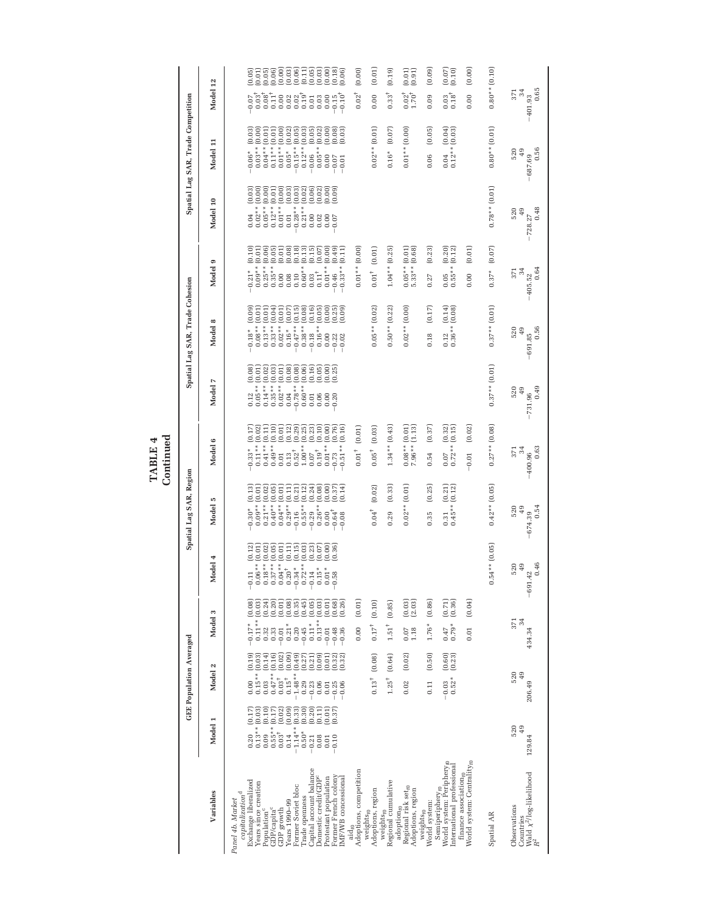$\begin{array}{c} \textbf{TABLE 4} \\ \textbf{Continued} \end{array}$ **Continued TABLE 4**

|                                                                                              |                                                       | <b>GEE Population Averaged</b>   |                            |                                                           |                                                 | Spatial Lag SAR, Region                                             |                                                                           |                                                                  | Spatial Lag SAR, Trade Cohesion                            |                                                        |                                              | Spatial Lag SAR, Trade Competition                            |                                                                               |
|----------------------------------------------------------------------------------------------|-------------------------------------------------------|----------------------------------|----------------------------|-----------------------------------------------------------|-------------------------------------------------|---------------------------------------------------------------------|---------------------------------------------------------------------------|------------------------------------------------------------------|------------------------------------------------------------|--------------------------------------------------------|----------------------------------------------|---------------------------------------------------------------|-------------------------------------------------------------------------------|
| Variables                                                                                    | Model 1                                               | Model 2                          |                            | Model 3                                                   | Model 4                                         | Model 5                                                             | Model 6                                                                   | Model 7                                                          | $\infty$<br>Model                                          | ග<br>Model                                             | Model 10                                     | Model 11                                                      | Model 12                                                                      |
| capitalization <sup>d</sup><br>Panel 4b. Market                                              |                                                       |                                  |                            |                                                           |                                                 |                                                                     |                                                                           |                                                                  |                                                            |                                                        |                                              |                                                               |                                                                               |
| Exchange liberalized<br>Years since creation                                                 | (0.17)<br>(0.03)<br>$0.13**$<br>0.20                  | $0.15**$<br>0.00                 | (0.19)<br>(0.03)           | (0.03)<br>(0.08)<br>$0.11**$<br>$-0.17*$                  | (0.12)<br>(0.01)<br>$0.06**$<br>$-0.11$         | (0.13)<br>$0.09**$ (0.01)<br>$-0.30*$                               | (0.02)<br>(0.17)<br>$0.11**$<br>$-0.33*$                                  | (0.08)<br>(0.01)<br>$0.05**$<br>0.12                             | (0.09)<br>$0.08**$ (0.01)<br>$-0.18*$                      | (0.10)<br>$0.09**$ (0.01)<br>$-0.21*$                  | $0.04$ $(0.03)$<br>$0.02**$ $(0.00)$         | (0.03)<br>(0.00)<br>$0.03**$<br>$-0.06*$                      | (0.05)<br>(0.01)<br>$0.03^{1}$<br>0.07                                        |
| GDP/capita <sup>c</sup><br>Population <sup>c</sup>                                           | (0.10)<br>(0.17)<br>$0.55**$<br>0.09                  | $0.47**$<br>0.03                 | (0.14)<br>(0.16)           | (0.20)<br>(0.24)<br>0.33<br>0.32                          | (0.02)<br>(0.05)<br>$0.18**$<br>$0.37**$        | $0.21**$ $(0.02)$<br>$0.40**$ (0.05)                                | (0.10)<br>(0.11)<br>$0.41**$<br>$0.49**$                                  | (0.02)<br>(0.03)<br>$0.14***$<br>$0.35**$                        | $0.33**$ $(0.04)$<br>$0.13**$ $(0.01)$                     | (0.06)<br>(0.05)<br>$0.25**$<br>$0.35**$               | (0.00)<br>(0.01)<br>$0.05**$<br>$0.12**$     | (0.01)<br>(0.01)<br>$0.04**$<br>$0.11**$                      | $(0.05)$<br>$(0.06)$<br>$0.08^{+}_{11}$                                       |
| Years 1990-99<br>GDP growth                                                                  | (0.02)<br>(0.09)<br>$0.03^+$<br>0.14                  | $0.03^\dagger$<br>$0.15^{\rm +}$ | (0.09)<br>(0.02)           | (0.08)<br>(0.01)<br>$0.21*$<br>$-0.01$                    | (0.11)<br>(0.01)<br>$0.04**$                    | $0.04**$ (0.01)<br>$0.29**$ $(0.11)$                                | (0.12)<br>(0.01)<br>0.01<br>0.13                                          | $\begin{bmatrix} 0.01 \\ 0.08 \end{bmatrix}$<br>$0.02**$<br>0.04 | (0.07)<br>$0.02**$ $(0.01)$<br>$0.16*$                     | (0.08)<br>(0.01)<br>0.00<br>0.08                       | (0.00)<br>(0.03)<br>$0.01**$<br>$0.01\,$     | (0.00)<br>(0.02)<br>$0.01**$<br>$0.05*$                       | 0.00                                                                          |
| Former Soviet bloc                                                                           | (0.33)<br>$-1.14**$                                   | $-1.48**$                        | (0.49)                     | (0.35)<br>0.20                                            | (0.15)<br>$-0.34*$                              | (0.21)<br>$-0.16$                                                   | (0.29)<br>$0.52^+$                                                        | $-0.78**$ $(0.08)$                                               | $-0.47**$ (0.15)                                           | (0.18)<br>0.10                                         | (0.03)<br>$0.28**$                           | (0.05)<br>$-0.15**$                                           | e<br>Subside<br>Subside<br>$0.02$<br>$0.02$<br>$0.19$ <sup>+</sup>            |
| Capital account balance<br>Domestic credit/GDP <sup>c</sup><br>Trade openness                | (0.20)<br>(0.11)<br>(0.30)<br>$0.50*$<br>0.21<br>0.08 | 0.29<br>$-0.23$<br>0.06          | (0.09)<br>(0.27)<br>(0.21) | (0.03)<br>(0.45)<br>(0.05)<br>$0.13**$<br>$0.11*$<br>0.45 | (0.03)<br>(0.23)<br>$0.72**$<br>$0.15*$<br>0.14 | (0.12)<br>(0.24)<br>(0.08)<br>$0.55**$<br>$-0.29$                   | (0.25)<br>(0.23)<br>(0.10)<br>$1.00**$<br>$0.19^+$<br>0.07                | (0.06)<br>(0.16)<br>$0.60**$<br>0.01<br>0.06                     | (0.16)<br>$0.38**$ (0.08)<br>(0.05)<br>$0.16**$<br>$-0.18$ | (0.13)<br>(0.15)<br>$0.60**$<br>$0.11^\dagger$<br>0.03 | (0.06)<br>(0.02)<br>$0.21**$<br>0.00<br>0.02 | (0.03)<br>(0.05)<br>(0.02)<br>$0.12**$<br>$0.05**$<br>$-0.06$ | 0.01<br>0.03                                                                  |
| Former French colony<br>Protestant population                                                | (0.01)<br>(0.37)<br>0.10<br>0.01                      | $-0.25$<br>0.01                  | (0.01)<br>(0.32)           | (0.68)<br>(0.01)<br>$-0.01$<br>$-0.48$                    | (0.07)<br>(0.36)<br>$0.01*$<br>0.58             | (0.00)<br>(0.37)<br>$0.26**$<br>$-0.64^+$<br>0.00                   | (0.00)<br>(0.76)<br>$0.01**$<br>$-0.73$                                   | $(0.05)$<br>$(0.00)$<br>(0.25)<br>0.00<br>0.20                   | (0.00)<br>(0.25)<br>0.00                                   | (0.07)<br>(0.00)<br>(0.49)<br>$0.01**$<br>$-0.46$      | 0.00<br>0.00<br>0.00<br>0.00<br>0.07         | (0.00)<br>(0.08)<br>0.00<br>$-0.07$                           | $(0.03)$<br>$(0.00)$<br>(0.18)<br>0.00<br>0.15                                |
| IMF/WB concessional                                                                          |                                                       | $-0.06$                          | (0.32)                     | (0.26)<br>$-0.36$                                         |                                                 | (0.14)<br>$-0.08$                                                   | (0.16)<br>$0.51**$                                                        |                                                                  | (0.09)<br>$-0.22$<br>$-0.02$                               | (0.11)<br>$-0.33**$                                    |                                              | (0.03)<br>$-0.01$                                             | (0.06)<br>$0.10^{+}$                                                          |
| Adoptions, competition<br>weights <sub>t0</sub><br>$_{\mathrm{aid}_\mathrm{f0}}$             |                                                       |                                  |                            | (0.01)<br>0.00                                            |                                                 |                                                                     | (0.01)<br>$0.01^{\dagger}$                                                |                                                                  |                                                            | $0.01**$ $(0.00)$                                      |                                              |                                                               | (0.00)<br>$0.02^{+}$                                                          |
| Adoptions, region                                                                            |                                                       | $0.13^{\dagger}$                 | (0.08)                     | (0.10)<br>$0.17^{+}$                                      |                                                 | (0.02)<br>$0.04^{+}$                                                | (0.03)<br>$0.05^+$                                                        |                                                                  | $0.05**$ $(0.02)$                                          | (0.01)<br>$0.01^\dagger$                               |                                              | $0.02**$ $(0.01)$                                             | (0.01)<br>0.00                                                                |
| Regional cumulative<br>$weights_{t0}$                                                        |                                                       | $1.25^+$                         | (0.64)                     | (0.85)<br>$1.51^{\rm +}$                                  |                                                 | (0.33)<br>0.29                                                      | $1.34**$ $(0.43)$                                                         |                                                                  | $0.50**$ (0.22)                                            | $1.04**$ $(0.25)$                                      |                                              | (0.07)<br>$0.16*$                                             | (0.19)<br>$0.33^{+}$                                                          |
| Regional risk set <sub>fo</sub><br>Adoptions, region<br>$ad$ option <sub>to</sub>            |                                                       | 0.02                             | (0.02)                     | (0.03)<br>(2.03)<br>1.18<br>0.07                          |                                                 | $0.02**$ (0.01)                                                     | $\begin{array}{c} 0.08^{**} \, (0.01) \\ 7.96^{**} \, (1.13) \end{array}$ |                                                                  | $0.02**$ (0.00)                                            | $0.05**$ $(0.01)$<br>5.33 ** $(0.68)$                  |                                              | $0.01**$ (0.00)                                               | (0.01)<br>(0.91)<br>$0.02^{+}_{1.70^{+}}$                                     |
| World system:<br>weights <sub>t0</sub>                                                       |                                                       | 0.11                             | (0.50)                     | (0.86)<br>$1.76*$                                         |                                                 | (0.25)<br>0.35                                                      | (0.37)<br>0.54                                                            |                                                                  | (0.17)<br>0.18                                             | (0.23)<br>0.27                                         |                                              | (0.05)<br>0.06                                                | (0.09)<br>0.09                                                                |
| World system: Periphery <sub>10</sub><br>International professional<br>Semiperiphery $_{t0}$ |                                                       | $0.52*$<br>$-0.03$               | (0.60)<br>(0.23)           | (0.71)<br>(0.36)<br>$0.79*$<br>0.47                       |                                                 | $\begin{array}{cc} 0.31 & (0.21) \\ 0.45^{**} & (0.12) \end{array}$ | (0.32)<br>(0.15)<br>$0.07$<br>$0.72**$                                    |                                                                  | $(0.14)$<br>$(0.08)$<br>$0.36**$<br>0.12                   | $(0.20)$<br>$(0.12)$<br>$0.55**$<br>0.05               |                                              | (0.04)<br>(0.03)<br>$0.12**$<br>0.04                          | $_{(0.10)}^{(0.07)}$<br>$\begin{smallmatrix} 0.03 \ 0.18 \end{smallmatrix}^+$ |
| World system: Centrality <sub>to</sub><br>finance association <sub>to</sub>                  |                                                       |                                  |                            | (0.04)<br>0.01                                            |                                                 |                                                                     | (0.02)<br>$-0.01$                                                         |                                                                  |                                                            | (0.01)<br>0.00                                         |                                              |                                                               | (0.00)<br>0.00                                                                |
| Spatial AR                                                                                   |                                                       |                                  |                            |                                                           | $0.54**$ $(0.05)$                               | $0.42**$ (0.05)                                                     | $0.27**$ (0.08)                                                           | $0.37**$ $(0.01)$                                                | $0.37**$ $(0.01)$                                          | (0.07)<br>$0.37*$                                      | $0.78**$ $(0.01)$                            | $0.80**$ $(0.01)$                                             | $0.80**$ $(0.10)$                                                             |
| Wald $\chi^2/\log$ -likelihood $R^2$<br>Observations<br>Countries                            | 520<br>49<br>129.84                                   | 520<br>49<br>206.49              |                            | 371<br>34<br>434.34                                       | $-691.42$<br>0.46<br>49<br>520                  | 0.54<br>520<br>49<br>$-674.39$                                      | 0.63<br>34<br>371<br>$-400.96$                                            | 0.49<br>49<br>520<br>$-731.96$                                   | 0.56<br>520<br>49<br>$-691.85$                             | 0.64<br>34<br>371<br>$-405.52$                         | 0.48<br>520<br>49<br>$-728.27$               | 0.56<br>520<br>49<br>$-687.69$                                | 0.65<br>34<br>371<br>$-401.93$                                                |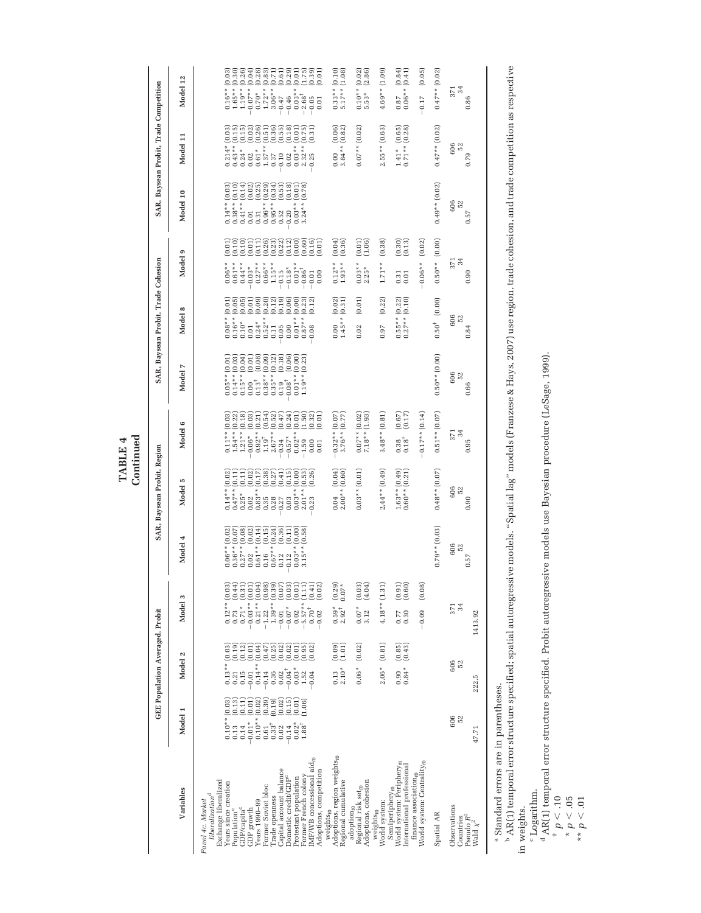TABLE 4<br>Continued **Continued TABLE 4**

|                                                                                                                      |                                            | GEE Population Averaged, Probit          |                                                                                                                                                                                                                                                                                                       |                                                             | SAR, Baysean Probit, Region            |                                                               |                                                                                     | SAR, Baysean Probit, Trade Cohesion                            |                                                  |                                              | SAR, Baysean Probit, Trade Competition                |                                                                                                              |
|----------------------------------------------------------------------------------------------------------------------|--------------------------------------------|------------------------------------------|-------------------------------------------------------------------------------------------------------------------------------------------------------------------------------------------------------------------------------------------------------------------------------------------------------|-------------------------------------------------------------|----------------------------------------|---------------------------------------------------------------|-------------------------------------------------------------------------------------|----------------------------------------------------------------|--------------------------------------------------|----------------------------------------------|-------------------------------------------------------|--------------------------------------------------------------------------------------------------------------|
| Variables                                                                                                            | Model 1                                    | Model 2                                  | Model 3                                                                                                                                                                                                                                                                                               | Model 4                                                     | Model 5                                | c<br>Model                                                    | Model 7                                                                             | æ<br>Model                                                     | ¢<br>Model                                       | Model 10                                     | Model 11                                              | Model 12                                                                                                     |
| Exchange liberalized<br>liberalization <sup>d</sup><br>Panel 4c. Market                                              |                                            |                                          |                                                                                                                                                                                                                                                                                                       |                                                             |                                        |                                                               |                                                                                     |                                                                |                                                  |                                              |                                                       |                                                                                                              |
| Years since creation<br>Population <sup>c</sup>                                                                      | $0.10**$ (0.03)<br>(0.13)<br>0.13          | $0.13**$ $(0.03)$<br>0.21                | $0.12**$ (0.03)                                                                                                                                                                                                                                                                                       | (0.02)<br>$0.06**$<br>$0.36**$                              | $0.14**$ (0.02)<br>(0.11)<br>$0.47**$  | $0.11**$ $(0.03)$                                             | $0.05**$ $(0.01)$<br>(0.03)<br>$0.14**$                                             | $0.08**$ (0.01)<br>$0.16**$                                    | (0.01)<br>(0.10)<br>$0.06**$<br>$0.61**$         | $0.14**$ $(0.03)$<br>(0.10)<br>$0.38**$      | (0.03)<br>(0.15)<br>$0.214*$<br>$0.43**$              | $\begin{array}{c} 0.16** (0.03) \\ 1.65** (0.30) \\ 1.19** (0.26) \end{array}$                               |
| GDP/capita <sup>c</sup>                                                                                              | (0.11)<br>0.14                             | $(0.19)$<br>$(0.12)$<br>0.15             |                                                                                                                                                                                                                                                                                                       | $\begin{array}{c} (0.07) \\ (0.08) \end{array}$<br>$0.27**$ | (0.11)<br>$0.25*$                      | $\begin{array}{c} 1.54** (0.22) \\ 1.21** (0.18) \end{array}$ | (0.04)<br>$0.15**$                                                                  | $(0.05)$<br>$(0.05)$<br>$0.10*$                                | (0.10)<br>$0.44**$                               | (0.14)<br>$0.41**$                           | (0.15)<br>$0.24*$                                     |                                                                                                              |
| Years 1990-99<br>GDP growth                                                                                          | (0.01)<br>(0.02)<br>$0.10**$<br>$-0.01*$   | (0.04)<br>(0.01)<br>$0.14***$<br>0.01    | $\begin{array}{ll} 0.773 & (0.44)\\ 0.73 & (0.41)\\ -0.87 & (0.01)\\ -0.87 & (0.01)\\ -0.13 & (0.01)\\ -0.13 & (0.01)\\ -0.13 & (0.01)\\ -0.13 & (0.01)\\ -0.13 & (0.01)\\ -0.01 & (0.01)\\ -0.02 & (0.01)\\ -0.02 & (0.01)\\ -0.03 & (0.02)\\ -0.04 & (0.01)\\ 0.07 & (0.02)\\ -0.07 & (0.01)\\ 0.0$ | (0.14)<br>(0.02)<br>$0.61**$<br>0.02                        | (0.02)<br>(0.17)<br>$0.83**$<br>0.02   | (0.03)<br>(0.21)<br>$0.92**$<br>$0.06*$                       | (0.08)<br>(10.01)<br>$0.13^{+}$<br>0.00                                             | $(0.09)$<br>$(0.20)$<br>(0.01)<br>$0.24**$<br>$0.52**$<br>0.01 | (0.01)<br>(0.11)<br>$0.27**$<br>$-0.03*$         | $0.25$<br>$0.25$<br>$0.29$<br>$0.01$<br>0.31 | (0.02)<br>$(0.26)$<br>$(0.51)$<br>$0.61*$<br>$0.02\,$ | $-0.07**$ (0.04)<br>$0.70*$ (0.28)<br>1.72** (0.83)                                                          |
| Former Soviet bloc<br>Trade openness                                                                                 | (0.39)<br>(0.19)<br>$0.33^{+}$<br>$\,0.61$ | (0.25)<br>(0.47)<br>0.14<br>0.36         |                                                                                                                                                                                                                                                                                                       | (0.15)<br>(0.24)<br>$0.67**$<br>0.16                        | (0.38)<br>(0.27)<br>0.28<br>0.35       | (0.52)<br>(0.54)<br>$2.67**$                                  | $0.38**$<br>$0.35**$                                                                | (0.12)<br>0.11                                                 | (0.26)<br>(0.23)<br>$0.66**$<br>$1.15**$         | (0.34)<br>$0.96**$<br>$0.95**$               | (0.36)<br>$1.37**$<br>0.37                            |                                                                                                              |
| Capital account balance<br>Domestic credit/GDP <sup>c</sup>                                                          | (0.15)<br>(0.02)<br>$-0.14$<br>0.02        | $(0.02)$<br>$(0.02)$<br>$0.04^+$<br>0.02 |                                                                                                                                                                                                                                                                                                       | (0.36)<br>(0.11)<br>0.12<br>0.12                            | (0.41)<br>(0.15)<br>0.27<br>0.03       | (0.47)<br>(0.24)<br>$-0.57*$<br>0.34                          | $\begin{array}{c} (0.12) \\ (0.18) \\ (0.06) \end{array}$<br>$0.08^\dagger$<br>0.19 | $(0.19)$<br>$(0.06)$<br>0.05<br>0.00                           | (0.12)<br>(0.22)<br>$-0.18*$<br>$-0.15$          | (0.53)<br>(0.18)<br>0.52<br>0.20             | (0.18)<br>(0.55)<br>0.10<br>$0.02\,$                  | $\begin{array}{cc} 3.06^{**} & (0.71) \\ -0.47 & (0.61) \\ -0.46 & (0.29) \end{array}$<br>$-0.47$<br>$-0.46$ |
| Protestant population                                                                                                | (0.01)<br>$0.02*$                          | (0.01)<br>$0.03*$                        |                                                                                                                                                                                                                                                                                                       | (0.00)<br>$0.03**$                                          | (0.00)<br>$0.03**$                     | (0.01)<br>$0.02**$                                            | (0.00)<br>$0.01**$                                                                  | (0.00)<br>$0.01**$                                             | (0.00)<br>$0.01**$                               | (0.01)<br>$0.03**$                           | (0.01)<br>$0.03**$                                    | (0.01)<br>$0.03**$                                                                                           |
| IMF/WB concessional $\mathrm{aid}_\mathrm{f0}$<br>Former French colony                                               | (1.06)<br>$1.88^{\rm +}$                   | (0.95)<br>(0.02)<br>1.52<br>0.04         |                                                                                                                                                                                                                                                                                                       | (0.58)<br>$3.15**$                                          | (0.53)<br>(0.26)<br>$2.01**$<br>0.23   | (1.50)<br>(0.32)<br>$-1.59$<br>0.00                           | (0.23)<br>$.19**$                                                                   | (0.23)<br>(0.12)<br>$0.87**$<br>0.08                           | (0.60)<br>(0.16)<br>$-0.86^{\dagger}$<br>$-0.01$ | (0.78)<br>$3.24**$                           | (0.75)<br>(0.31)<br>$2.32**$<br>0.25                  | (1.75)<br>(0.39)<br>$-2.68^+$<br>$-0.05$                                                                     |
| Adoptions, competition<br>weights <sub>t0</sub>                                                                      |                                            |                                          |                                                                                                                                                                                                                                                                                                       |                                                             |                                        | (0.01)<br>0.01                                                |                                                                                     |                                                                | (0.01)<br>0.00                                   |                                              |                                                       | (0.01)<br>0.01                                                                                               |
| Adoptions, region weights <sub>to</sub><br>Regional cumulative                                                       |                                            | (0.09)<br>(1.01)<br>$2.10*$<br>0.13      | $(0.29)$<br>$0.07*$<br>$0.59*$<br>2.92 <sup>+</sup>                                                                                                                                                                                                                                                   |                                                             | (0.04)<br>$2.00**$ (0.60)<br>0.04      | $-0.32**$ (0.07)<br>$3.76**$ (0.77)                           |                                                                                     | (0.02)<br>(0.31)<br>$1.45**$<br>0.00                           | (0.04)<br>(0.36)<br>$0.12**$<br>$1.93**$         |                                              | (0.82)<br>(0.06)<br>$3.84**$<br>0.00                  | $0.33**$ $(0.10)$<br>5.17 ** $(1.08)$                                                                        |
| Adoptions, cohesion<br>Regional risk set <sub>to</sub><br>adoption <sub>10</sub>                                     |                                            | (0.02)<br>$0.06*$                        | $(6.03)$<br>(4.04)<br>$0.07*$<br>3.12                                                                                                                                                                                                                                                                 |                                                             | $0.03**$ $(0.01)$                      | $0.07**$ (0.02)<br>$7.18**$ (1.93)                            |                                                                                     | (0.01)<br>0.02                                                 | (0.01)<br>(1.06)<br>$0.03**$<br>$2.25*$          |                                              | $0.07**$ (0.02)                                       | $0.10**$ $(0.02)$<br>5.53* $(2.86)$                                                                          |
| World system:<br>weights <sub>t0</sub>                                                                               |                                            | (0.81)<br>$2.06*$                        | $4.18**$ $(1.31)$                                                                                                                                                                                                                                                                                     |                                                             | $2.44**$ $(0.49)$                      | $3.48**$ $(0.81)$                                             |                                                                                     | (0.22)<br>0.97                                                 | (0.38)<br>$1.71**$                               |                                              | $2.55**$ (0.63)                                       | $4.69**$ (1.09)                                                                                              |
| World system: Periphery <sub>10</sub><br>International professional<br>Semiperiphery $_{t0}$                         |                                            | $(0.85)$<br>$(0.43)$<br>$0.84*$<br>0.90  | $(0.61)$<br>$(0.60)$<br>0.77<br>0.30                                                                                                                                                                                                                                                                  |                                                             | $1.63**$ $(0.49)$<br>$0.60**$ $(0.21)$ | (0.67)<br>(0.17)<br>$0.18^\dagger$<br>0.38                    |                                                                                     | $0.55**$ (0.22)<br>$0.27**$ (0.10)                             | (0.30)<br>(0.13)<br>0.31<br>0.01                 |                                              | (0.28)<br>(0.65)<br>$0.71**$<br>$1.41*$               | $\begin{array}{cc} 0.87 & (0.84) \\ 0.06^{**} & (0.41) \end{array}$                                          |
| $\begin{array}{l} \text{frame association}_\textit{no} \\ \text{World system: Centrality}_{\textit{fo}} \end{array}$ |                                            |                                          | (0.08)<br>$-0.09$                                                                                                                                                                                                                                                                                     |                                                             |                                        | $-0.17**$ (0.14)                                              |                                                                                     |                                                                | (0.02)<br>$-0.06**$                              |                                              |                                                       | (0.05)<br>$-0.17$                                                                                            |
| Spatial AR                                                                                                           |                                            |                                          |                                                                                                                                                                                                                                                                                                       | $0.79**$ $(0.03)$                                           | $0.48**$ $(0.07)$                      | $0.51**$ (0.07)                                               | $0.50**$ $(0.00)$                                                                   | $0.50^{+}$ $(0.00)$                                            | (0.00)<br>$0.50**$                               | $0.49**$ $(0.02)$                            | $0.47**$ $(0.02)$                                     | $0.47**$ (0.02)                                                                                              |
| Observations<br>Pseudo $R^2$<br>Countries                                                                            | 606<br>52                                  | 606<br>52                                | 34<br>371                                                                                                                                                                                                                                                                                             | 606<br>52<br>0.57                                           | 606<br>52<br>0.90                      | 34<br>371<br>0.95                                             | 606<br>52<br>0.66                                                                   | 606<br>52<br>0.84                                              | 371<br>34<br>0.90                                | 606<br>52<br>0.57                            | 606<br>52<br>0.79                                     | 371<br>24<br>0.86                                                                                            |
| Wald $\chi^2$                                                                                                        | 47.71                                      | 222.5                                    | 1413.92                                                                                                                                                                                                                                                                                               |                                                             |                                        |                                                               |                                                                                     |                                                                |                                                  |                                              |                                                       |                                                                                                              |

Standard errors are in parentheses.

a Standard errors are in parentheses.<br><sup>b</sup> AR(1) temporal error structure specified; spatial autoregressive models. "Spatial lag" models (Franzese & Hays, 2007) use region, trade cohesion, and trade competition as respectiv b AR(1) temporal error structure specified; spatial autoregressive models. "Spatial lag" models (Franzese & Hays, 2007) use region, trade cohesion, and trade competition as respective in weights.

Logarithm.

AR(1) temporal error structure specified. Probit autoregressive models use Bayesian procedure (LeSage, 1999).

c Logarith<br>
<sup>d</sup> AR(1) ten<br>
<sup>*t</sup> p* < .05<br> *\* p* < .05<br> *\* p* < .01</sup>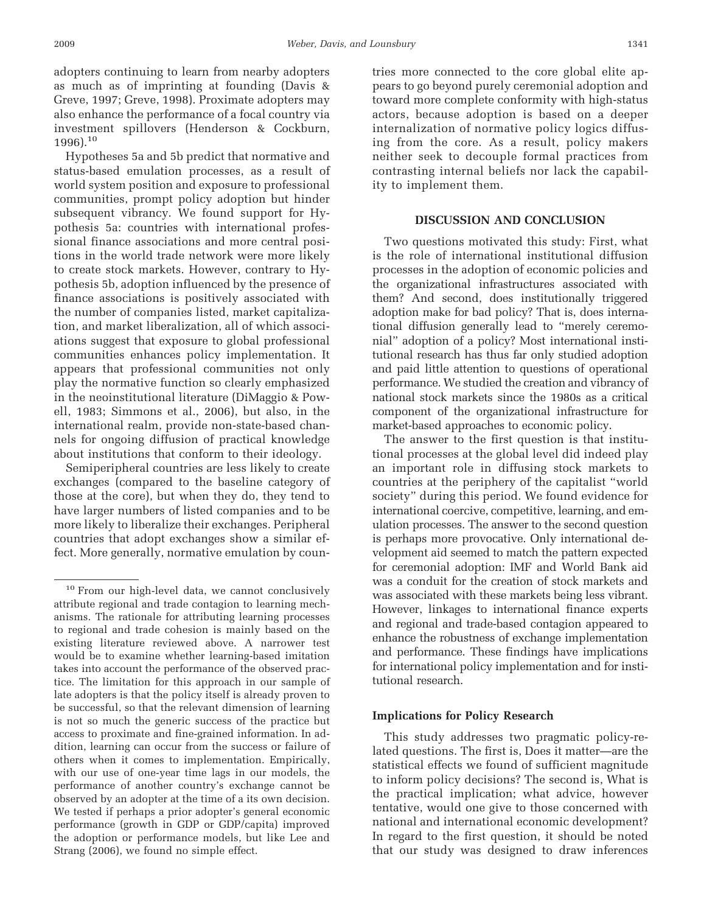adopters continuing to learn from nearby adopters as much as of imprinting at founding (Davis & Greve, 1997; Greve, 1998). Proximate adopters may also enhance the performance of a focal country via investment spillovers (Henderson & Cockburn,  $1996$ ).<sup>10</sup>

Hypotheses 5a and 5b predict that normative and status-based emulation processes, as a result of world system position and exposure to professional communities, prompt policy adoption but hinder subsequent vibrancy. We found support for Hypothesis 5a: countries with international professional finance associations and more central positions in the world trade network were more likely to create stock markets. However, contrary to Hypothesis 5b, adoption influenced by the presence of finance associations is positively associated with the number of companies listed, market capitalization, and market liberalization, all of which associations suggest that exposure to global professional communities enhances policy implementation. It appears that professional communities not only play the normative function so clearly emphasized in the neoinstitutional literature (DiMaggio & Powell, 1983; Simmons et al., 2006), but also, in the international realm, provide non-state-based channels for ongoing diffusion of practical knowledge about institutions that conform to their ideology.

Semiperipheral countries are less likely to create exchanges (compared to the baseline category of those at the core), but when they do, they tend to have larger numbers of listed companies and to be more likely to liberalize their exchanges. Peripheral countries that adopt exchanges show a similar effect. More generally, normative emulation by countries more connected to the core global elite appears to go beyond purely ceremonial adoption and toward more complete conformity with high-status actors, because adoption is based on a deeper internalization of normative policy logics diffusing from the core. As a result, policy makers neither seek to decouple formal practices from contrasting internal beliefs nor lack the capability to implement them.

#### **DISCUSSION AND CONCLUSION**

Two questions motivated this study: First, what is the role of international institutional diffusion processes in the adoption of economic policies and the organizational infrastructures associated with them? And second, does institutionally triggered adoption make for bad policy? That is, does international diffusion generally lead to "merely ceremonial" adoption of a policy? Most international institutional research has thus far only studied adoption and paid little attention to questions of operational performance. We studied the creation and vibrancy of national stock markets since the 1980s as a critical component of the organizational infrastructure for market-based approaches to economic policy.

The answer to the first question is that institutional processes at the global level did indeed play an important role in diffusing stock markets to countries at the periphery of the capitalist "world society" during this period. We found evidence for international coercive, competitive, learning, and emulation processes. The answer to the second question is perhaps more provocative. Only international development aid seemed to match the pattern expected for ceremonial adoption: IMF and World Bank aid was a conduit for the creation of stock markets and was associated with these markets being less vibrant. However, linkages to international finance experts and regional and trade-based contagion appeared to enhance the robustness of exchange implementation and performance. These findings have implications for international policy implementation and for institutional research.

### **Implications for Policy Research**

This study addresses two pragmatic policy-related questions. The first is, Does it matter—are the statistical effects we found of sufficient magnitude to inform policy decisions? The second is, What is the practical implication; what advice, however tentative, would one give to those concerned with national and international economic development? In regard to the first question, it should be noted that our study was designed to draw inferences

<sup>&</sup>lt;sup>10</sup> From our high-level data, we cannot conclusively attribute regional and trade contagion to learning mechanisms. The rationale for attributing learning processes to regional and trade cohesion is mainly based on the existing literature reviewed above. A narrower test would be to examine whether learning-based imitation takes into account the performance of the observed practice. The limitation for this approach in our sample of late adopters is that the policy itself is already proven to be successful, so that the relevant dimension of learning is not so much the generic success of the practice but access to proximate and fine-grained information. In addition, learning can occur from the success or failure of others when it comes to implementation. Empirically, with our use of one-year time lags in our models, the performance of another country's exchange cannot be observed by an adopter at the time of a its own decision. We tested if perhaps a prior adopter's general economic performance (growth in GDP or GDP/capita) improved the adoption or performance models, but like Lee and Strang (2006), we found no simple effect.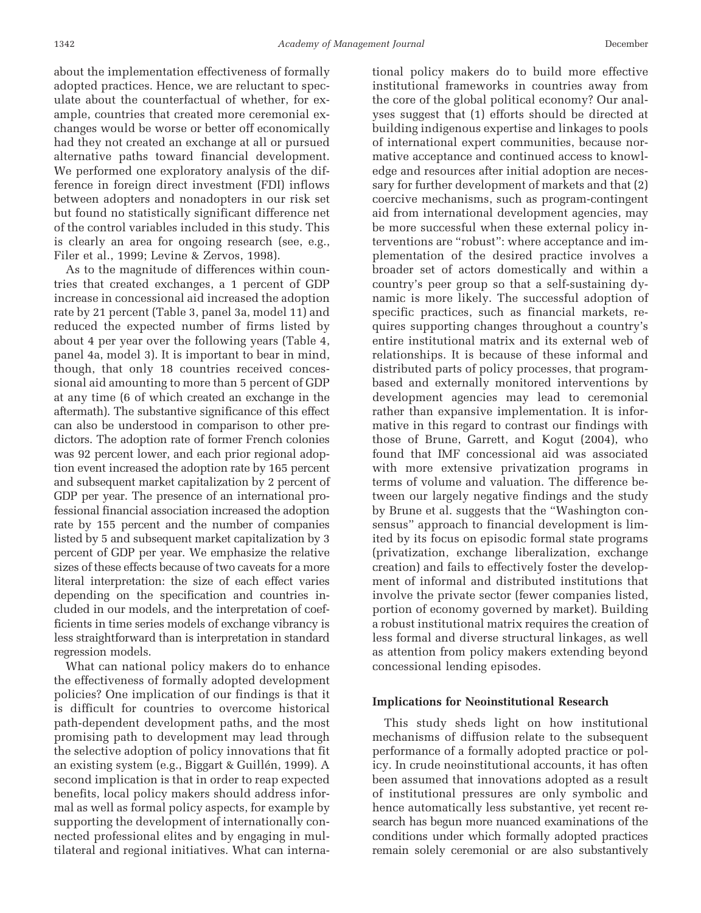about the implementation effectiveness of formally adopted practices. Hence, we are reluctant to speculate about the counterfactual of whether, for example, countries that created more ceremonial exchanges would be worse or better off economically had they not created an exchange at all or pursued alternative paths toward financial development. We performed one exploratory analysis of the difference in foreign direct investment (FDI) inflows between adopters and nonadopters in our risk set but found no statistically significant difference net of the control variables included in this study. This is clearly an area for ongoing research (see, e.g., Filer et al., 1999; Levine & Zervos, 1998).

As to the magnitude of differences within countries that created exchanges, a 1 percent of GDP increase in concessional aid increased the adoption rate by 21 percent (Table 3, panel 3a, model 11) and reduced the expected number of firms listed by about 4 per year over the following years (Table 4, panel 4a, model 3). It is important to bear in mind, though, that only 18 countries received concessional aid amounting to more than 5 percent of GDP at any time (6 of which created an exchange in the aftermath). The substantive significance of this effect can also be understood in comparison to other predictors. The adoption rate of former French colonies was 92 percent lower, and each prior regional adoption event increased the adoption rate by 165 percent and subsequent market capitalization by 2 percent of GDP per year. The presence of an international professional financial association increased the adoption rate by 155 percent and the number of companies listed by 5 and subsequent market capitalization by 3 percent of GDP per year. We emphasize the relative sizes of these effects because of two caveats for a more literal interpretation: the size of each effect varies depending on the specification and countries included in our models, and the interpretation of coefficients in time series models of exchange vibrancy is less straightforward than is interpretation in standard regression models.

What can national policy makers do to enhance the effectiveness of formally adopted development policies? One implication of our findings is that it is difficult for countries to overcome historical path-dependent development paths, and the most promising path to development may lead through the selective adoption of policy innovations that fit an existing system (e.g., Biggart & Guillén, 1999). A second implication is that in order to reap expected benefits, local policy makers should address informal as well as formal policy aspects, for example by supporting the development of internationally connected professional elites and by engaging in multilateral and regional initiatives. What can international policy makers do to build more effective institutional frameworks in countries away from the core of the global political economy? Our analyses suggest that (1) efforts should be directed at building indigenous expertise and linkages to pools of international expert communities, because normative acceptance and continued access to knowledge and resources after initial adoption are necessary for further development of markets and that (2) coercive mechanisms, such as program-contingent aid from international development agencies, may be more successful when these external policy interventions are "robust": where acceptance and implementation of the desired practice involves a broader set of actors domestically and within a country's peer group so that a self-sustaining dynamic is more likely. The successful adoption of specific practices, such as financial markets, requires supporting changes throughout a country's entire institutional matrix and its external web of relationships. It is because of these informal and distributed parts of policy processes, that programbased and externally monitored interventions by development agencies may lead to ceremonial rather than expansive implementation. It is informative in this regard to contrast our findings with those of Brune, Garrett, and Kogut (2004), who found that IMF concessional aid was associated with more extensive privatization programs in terms of volume and valuation. The difference between our largely negative findings and the study by Brune et al. suggests that the "Washington consensus" approach to financial development is limited by its focus on episodic formal state programs (privatization, exchange liberalization, exchange creation) and fails to effectively foster the development of informal and distributed institutions that involve the private sector (fewer companies listed, portion of economy governed by market). Building a robust institutional matrix requires the creation of less formal and diverse structural linkages, as well as attention from policy makers extending beyond concessional lending episodes.

#### **Implications for Neoinstitutional Research**

This study sheds light on how institutional mechanisms of diffusion relate to the subsequent performance of a formally adopted practice or policy. In crude neoinstitutional accounts, it has often been assumed that innovations adopted as a result of institutional pressures are only symbolic and hence automatically less substantive, yet recent research has begun more nuanced examinations of the conditions under which formally adopted practices remain solely ceremonial or are also substantively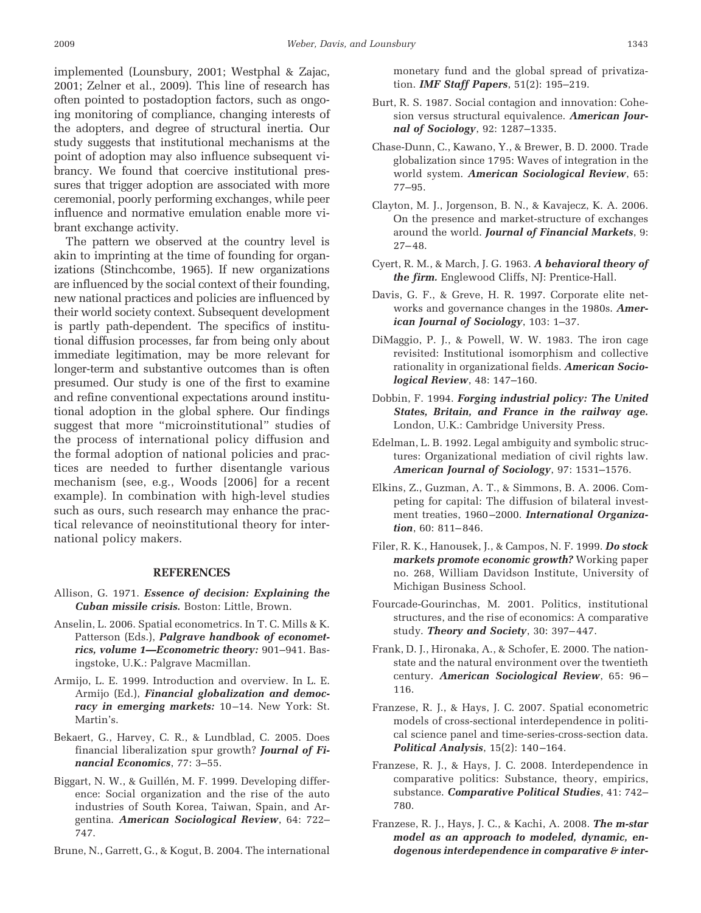implemented (Lounsbury, 2001; Westphal & Zajac, 2001; Zelner et al., 2009). This line of research has often pointed to postadoption factors, such as ongoing monitoring of compliance, changing interests of the adopters, and degree of structural inertia. Our study suggests that institutional mechanisms at the point of adoption may also influence subsequent vibrancy. We found that coercive institutional pressures that trigger adoption are associated with more ceremonial, poorly performing exchanges, while peer influence and normative emulation enable more vibrant exchange activity.

The pattern we observed at the country level is akin to imprinting at the time of founding for organizations (Stinchcombe, 1965). If new organizations are influenced by the social context of their founding, new national practices and policies are influenced by their world society context. Subsequent development is partly path-dependent. The specifics of institutional diffusion processes, far from being only about immediate legitimation, may be more relevant for longer-term and substantive outcomes than is often presumed. Our study is one of the first to examine and refine conventional expectations around institutional adoption in the global sphere. Our findings suggest that more "microinstitutional" studies of the process of international policy diffusion and the formal adoption of national policies and practices are needed to further disentangle various mechanism (see, e.g., Woods [2006] for a recent example). In combination with high-level studies such as ours, such research may enhance the practical relevance of neoinstitutional theory for international policy makers.

#### **REFERENCES**

- Allison, G. 1971. *Essence of decision: Explaining the Cuban missile crisis.* Boston: Little, Brown.
- Anselin, L. 2006. Spatial econometrics. In T. C. Mills & K. Patterson (Eds.), *Palgrave handbook of econometrics, volume 1—Econometric theory:* 901–941. Basingstoke, U.K.: Palgrave Macmillan.
- Armijo, L. E. 1999. Introduction and overview. In L. E. Armijo (Ed.), *Financial globalization and democracy in emerging markets:* 10 –14. New York: St. Martin's.
- Bekaert, G., Harvey, C. R., & Lundblad, C. 2005. Does financial liberalization spur growth? *Journal of Financial Economics*, 77: 3–55.
- Biggart, N. W., & Guillén, M. F. 1999. Developing difference: Social organization and the rise of the auto industries of South Korea, Taiwan, Spain, and Argentina. *American Sociological Review*, 64: 722– 747.

Brune, N., Garrett, G., & Kogut, B. 2004. The international

monetary fund and the global spread of privatization. *IMF Staff Papers*, 51(2): 195–219.

- Burt, R. S. 1987. Social contagion and innovation: Cohesion versus structural equivalence. *American Journal of Sociology*, 92: 1287–1335.
- Chase-Dunn, C., Kawano, Y., & Brewer, B. D. 2000. Trade globalization since 1795: Waves of integration in the world system. *American Sociological Review*, 65: 77–95.
- Clayton, M. J., Jorgenson, B. N., & Kavajecz, K. A. 2006. On the presence and market-structure of exchanges around the world. *Journal of Financial Markets*, 9:  $27 - 48.$
- Cyert, R. M., & March, J. G. 1963. *A behavioral theory of the firm.* Englewood Cliffs, NJ: Prentice-Hall.
- Davis, G. F., & Greve, H. R. 1997. Corporate elite networks and governance changes in the 1980s. *American Journal of Sociology*, 103: 1–37.
- DiMaggio, P. J., & Powell, W. W. 1983. The iron cage revisited: Institutional isomorphism and collective rationality in organizational fields. *American Sociological Review*, 48: 147–160.
- Dobbin, F. 1994. *Forging industrial policy: The United States, Britain, and France in the railway age.* London, U.K.: Cambridge University Press.
- Edelman, L. B. 1992. Legal ambiguity and symbolic structures: Organizational mediation of civil rights law. *American Journal of Sociology*, 97: 1531–1576.
- Elkins, Z., Guzman, A. T., & Simmons, B. A. 2006. Competing for capital: The diffusion of bilateral investment treaties, 1960 –2000. *International Organization*, 60: 811– 846.
- Filer, R. K., Hanousek, J., & Campos, N. F. 1999. *Do stock markets promote economic growth?* Working paper no. 268, William Davidson Institute, University of Michigan Business School.
- Fourcade-Gourinchas, M. 2001. Politics, institutional structures, and the rise of economics: A comparative study. *Theory and Society*, 30: 397– 447.
- Frank, D. J., Hironaka, A., & Schofer, E. 2000. The nationstate and the natural environment over the twentieth century. *American Sociological Review*, 65: 96 – 116.
- Franzese, R. J., & Hays, J. C. 2007. Spatial econometric models of cross-sectional interdependence in political science panel and time-series-cross-section data. *Political Analysis*, 15(2): 140 –164.
- Franzese, R. J., & Hays, J. C. 2008. Interdependence in comparative politics: Substance, theory, empirics, substance. *Comparative Political Studies*, 41: 742– 780.
- Franzese, R. J., Hays, J. C., & Kachi, A. 2008. *The m-star model as an approach to modeled, dynamic, endogenous interdependence in comparative & inter-*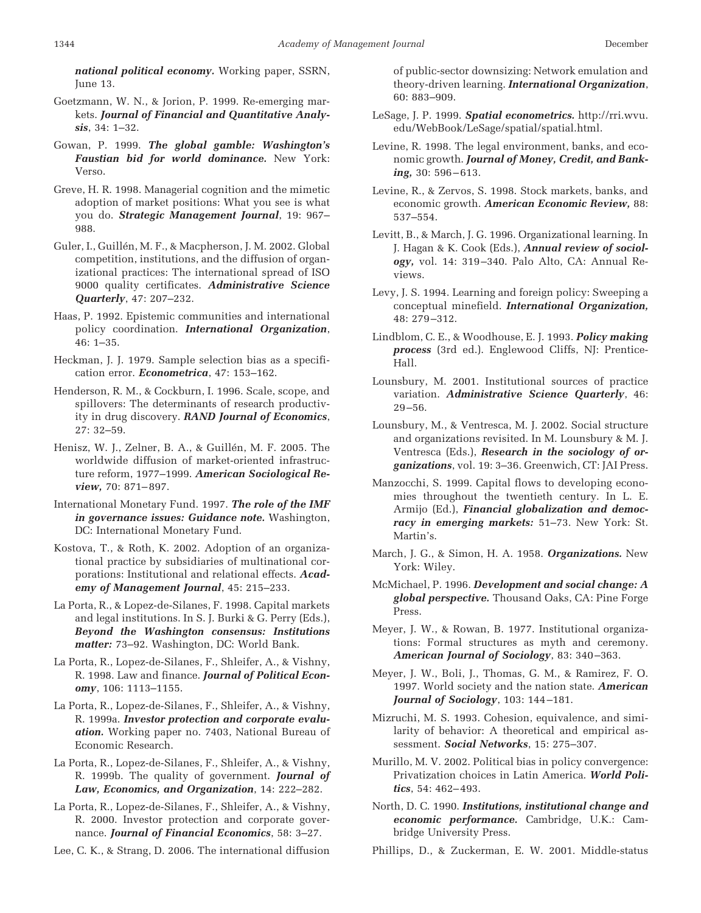*national political economy.* Working paper, SSRN, June 13.

- Goetzmann, W. N., & Jorion, P. 1999. Re-emerging markets. *Journal of Financial and Quantitative Analysis*, 34: 1–32.
- Gowan, P. 1999. *The global gamble: Washington's Faustian bid for world dominance.* New York: Verso.
- Greve, H. R. 1998. Managerial cognition and the mimetic adoption of market positions: What you see is what you do. *Strategic Management Journal*, 19: 967– 988.
- Guler, I., Guillén, M. F., & Macpherson, J. M. 2002. Global competition, institutions, and the diffusion of organizational practices: The international spread of ISO 9000 quality certificates. *Administrative Science Quarterly*, 47: 207–232.
- Haas, P. 1992. Epistemic communities and international policy coordination. *International Organization*, 46: 1–35.
- Heckman, J. J. 1979. Sample selection bias as a specification error. *Econometrica*, 47: 153–162.
- Henderson, R. M., & Cockburn, I. 1996. Scale, scope, and spillovers: The determinants of research productivity in drug discovery. *RAND Journal of Economics*, 27: 32–59.
- Henisz, W. J., Zelner, B. A., & Guillén, M. F. 2005. The worldwide diffusion of market-oriented infrastructure reform, 1977–1999. *American Sociological Review,* 70: 871– 897.
- International Monetary Fund. 1997. *The role of the IMF in governance issues: Guidance note.* Washington, DC: International Monetary Fund.
- Kostova, T., & Roth, K. 2002. Adoption of an organizational practice by subsidiaries of multinational corporations: Institutional and relational effects. *Academy of Management Journal*, 45: 215–233.
- La Porta, R., & Lopez-de-Silanes, F. 1998. Capital markets and legal institutions. In S. J. Burki & G. Perry (Eds.), *Beyond the Washington consensus: Institutions matter:* 73–92. Washington, DC: World Bank.
- La Porta, R., Lopez-de-Silanes, F., Shleifer, A., & Vishny, R. 1998. Law and finance. *Journal of Political Economy*, 106: 1113–1155.
- La Porta, R., Lopez-de-Silanes, F., Shleifer, A., & Vishny, R. 1999a. *Investor protection and corporate evaluation.* Working paper no. 7403, National Bureau of Economic Research.
- La Porta, R., Lopez-de-Silanes, F., Shleifer, A., & Vishny, R. 1999b. The quality of government. *Journal of Law, Economics, and Organization*, 14: 222–282.
- La Porta, R., Lopez-de-Silanes, F., Shleifer, A., & Vishny, R. 2000. Investor protection and corporate governance. *Journal of Financial Economics*, 58: 3–27.
- Lee, C. K., & Strang, D. 2006. The international diffusion

of public-sector downsizing: Network emulation and theory-driven learning. *International Organization*, 60: 883–909.

- LeSage, J. P. 1999. *Spatial econometrics.* http://rri.wvu. edu/WebBook/LeSage/spatial/spatial.html.
- Levine, R. 1998. The legal environment, banks, and economic growth. *Journal of Money, Credit, and Bank*ing, 30: 596-613.
- Levine, R., & Zervos, S. 1998. Stock markets, banks, and economic growth. *American Economic Review,* 88: 537–554.
- Levitt, B., & March, J. G. 1996. Organizational learning. In J. Hagan & K. Cook (Eds.), *Annual review of sociology,* vol. 14: 319 –340. Palo Alto, CA: Annual Reviews.
- Levy, J. S. 1994. Learning and foreign policy: Sweeping a conceptual minefield. *International Organization,* 48: 279 –312.
- Lindblom, C. E., & Woodhouse, E. J. 1993. *Policy making process* (3rd ed.). Englewood Cliffs, NJ: Prentice-Hall.
- Lounsbury, M. 2001. Institutional sources of practice variation. *Administrative Science Quarterly*, 46: 29 –56.
- Lounsbury, M., & Ventresca, M. J. 2002. Social structure and organizations revisited. In M. Lounsbury & M. J. Ventresca (Eds.), *Research in the sociology of organizations*, vol. 19: 3–36. Greenwich, CT: JAI Press.
- Manzocchi, S. 1999. Capital flows to developing economies throughout the twentieth century. In L. E. Armijo (Ed.), *Financial globalization and democracy in emerging markets:* 51–73. New York: St. Martin's.
- March, J. G., & Simon, H. A. 1958. *Organizations.* New York: Wiley.
- McMichael, P. 1996. *Development and social change: A global perspective.* Thousand Oaks, CA: Pine Forge Press.
- Meyer, J. W., & Rowan, B. 1977. Institutional organizations: Formal structures as myth and ceremony. *American Journal of Sociology*, 83: 340 –363.
- Meyer, J. W., Boli, J., Thomas, G. M., & Ramirez, F. O. 1997. World society and the nation state. *American Journal of Sociology*, 103: 144 –181.
- Mizruchi, M. S. 1993. Cohesion, equivalence, and similarity of behavior: A theoretical and empirical assessment. *Social Networks*, 15: 275–307.
- Murillo, M. V. 2002. Political bias in policy convergence: Privatization choices in Latin America. *World Politics*, 54: 462– 493.
- North, D. C. 1990. *Institutions, institutional change and economic performance.* Cambridge, U.K.: Cambridge University Press.
- Phillips, D., & Zuckerman, E. W. 2001. Middle-status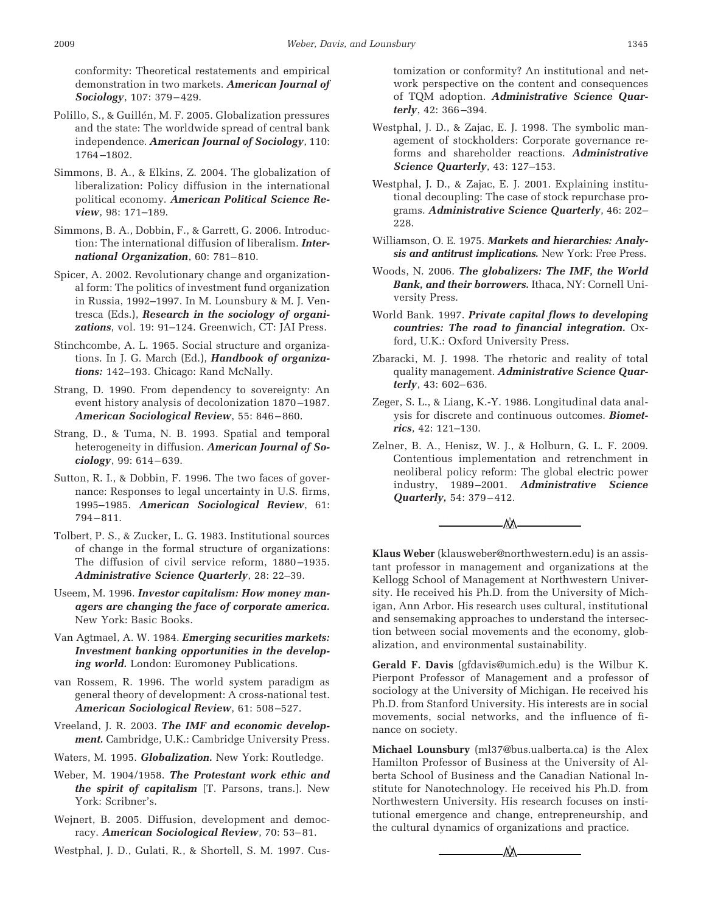conformity: Theoretical restatements and empirical demonstration in two markets. *American Journal of Sociology*, 107: 379 – 429.

- Polillo, S., & Guillén, M. F. 2005. Globalization pressures and the state: The worldwide spread of central bank independence. *American Journal of Sociology*, 110: 1764 –1802.
- Simmons, B. A., & Elkins, Z. 2004. The globalization of liberalization: Policy diffusion in the international political economy. *American Political Science Review*, 98: 171–189.
- Simmons, B. A., Dobbin, F., & Garrett, G. 2006. Introduction: The international diffusion of liberalism. *International Organization*, 60: 781– 810.
- Spicer, A. 2002. Revolutionary change and organizational form: The politics of investment fund organization in Russia, 1992–1997. In M. Lounsbury & M. J. Ventresca (Eds.), *Research in the sociology of organizations*, vol. 19: 91–124. Greenwich, CT: JAI Press.
- Stinchcombe, A. L. 1965. Social structure and organizations. In J. G. March (Ed.), *Handbook of organizations:* 142–193. Chicago: Rand McNally.
- Strang, D. 1990. From dependency to sovereignty: An event history analysis of decolonization 1870 –1987. *American Sociological Review*, 55: 846 – 860.
- Strang, D., & Tuma, N. B. 1993. Spatial and temporal heterogeneity in diffusion. *American Journal of Sociology*, 99: 614 – 639.
- Sutton, R. I., & Dobbin, F. 1996. The two faces of governance: Responses to legal uncertainty in U.S. firms, 1995–1985. *American Sociological Review*, 61: 794 – 811.
- Tolbert, P. S., & Zucker, L. G. 1983. Institutional sources of change in the formal structure of organizations: The diffusion of civil service reform, 1880 –1935. *Administrative Science Quarterly*, 28: 22–39.
- Useem, M. 1996. *Investor capitalism: How money managers are changing the face of corporate america.* New York: Basic Books.
- Van Agtmael, A. W. 1984. *Emerging securities markets: Investment banking opportunities in the developing world.* London: Euromoney Publications.
- van Rossem, R. 1996. The world system paradigm as general theory of development: A cross-national test. *American Sociological Review*, 61: 508 –527.
- Vreeland, J. R. 2003. *The IMF and economic development.* Cambridge, U.K.: Cambridge University Press.
- Waters, M. 1995. *Globalization.* New York: Routledge.
- Weber, M. 1904/1958. *The Protestant work ethic and the spirit of capitalism* [T. Parsons, trans.]. New York: Scribner's.
- Wejnert, B. 2005. Diffusion, development and democracy. *American Sociological Review*, 70: 53– 81.

Westphal, J. D., Gulati, R., & Shortell, S. M. 1997. Cus-

tomization or conformity? An institutional and network perspective on the content and consequences of TQM adoption. *Administrative Science Quarterly*, 42: 366 –394.

- Westphal, J. D., & Zajac, E. J. 1998. The symbolic management of stockholders: Corporate governance reforms and shareholder reactions. *Administrative Science Quarterly*, 43: 127–153.
- Westphal, J. D., & Zajac, E. J. 2001. Explaining institutional decoupling: The case of stock repurchase programs. *Administrative Science Quarterly*, 46: 202– 228.
- Williamson, O. E. 1975. *Markets and hierarchies: Analysis and antitrust implications.* New York: Free Press.
- Woods, N. 2006. *The globalizers: The IMF, the World Bank, and their borrowers.* Ithaca, NY: Cornell University Press.
- World Bank. 1997. *Private capital flows to developing countries: The road to financial integration.* Oxford, U.K.: Oxford University Press.
- Zbaracki, M. J. 1998. The rhetoric and reality of total quality management. *Administrative Science Quarterly*, 43: 602– 636.
- Zeger, S. L., & Liang, K.-Y. 1986. Longitudinal data analysis for discrete and continuous outcomes. *Biometrics*, 42: 121–130.
- Zelner, B. A., Henisz, W. J., & Holburn, G. L. F. 2009. Contentious implementation and retrenchment in neoliberal policy reform: The global electric power industry, 1989 –2001. *Administrative Science Quarterly,* 54: 379 – 412.



**Klaus Weber** (klausweber@northwestern.edu) is an assistant professor in management and organizations at the Kellogg School of Management at Northwestern University. He received his Ph.D. from the University of Michigan, Ann Arbor. His research uses cultural, institutional and sensemaking approaches to understand the intersection between social movements and the economy, globalization, and environmental sustainability.

**Gerald F. Davis** (gfdavis@umich.edu) is the Wilbur K. Pierpont Professor of Management and a professor of sociology at the University of Michigan. He received his Ph.D. from Stanford University. His interests are in social movements, social networks, and the influence of finance on society.

**Michael Lounsbury** (ml37@bus.ualberta.ca) is the Alex Hamilton Professor of Business at the University of Alberta School of Business and the Canadian National Institute for Nanotechnology. He received his Ph.D. from Northwestern University. His research focuses on institutional emergence and change, entrepreneurship, and the cultural dynamics of organizations and practice.

٨X.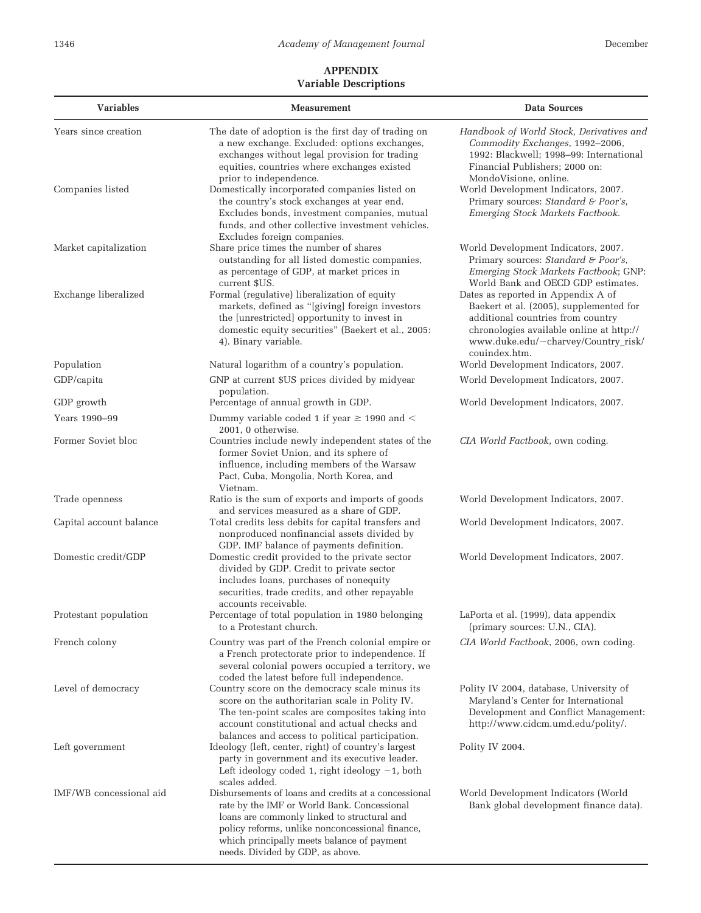# **APPENDIX Variable Descriptions**

| <b>Variables</b>        | <b>Measurement</b>                                                                                                                                                                                                                                                                      | <b>Data Sources</b>                                                                                                                                                                                                    |
|-------------------------|-----------------------------------------------------------------------------------------------------------------------------------------------------------------------------------------------------------------------------------------------------------------------------------------|------------------------------------------------------------------------------------------------------------------------------------------------------------------------------------------------------------------------|
| Years since creation    | The date of adoption is the first day of trading on<br>a new exchange. Excluded: options exchanges,<br>exchanges without legal provision for trading<br>equities, countries where exchanges existed<br>prior to independence.                                                           | Handbook of World Stock, Derivatives and<br>Commodity Exchanges, 1992-2006,<br>1992: Blackwell; 1998-99: International<br>Financial Publishers; 2000 on:<br>MondoVisione, online.                                      |
| Companies listed        | Domestically incorporated companies listed on<br>the country's stock exchanges at year end.<br>Excludes bonds, investment companies, mutual<br>funds, and other collective investment vehicles.<br>Excludes foreign companies.                                                          | World Development Indicators, 2007.<br>Primary sources: Standard & Poor's,<br>Emerging Stock Markets Factbook.                                                                                                         |
| Market capitalization   | Share price times the number of shares<br>outstanding for all listed domestic companies,<br>as percentage of GDP, at market prices in<br>current \$US.                                                                                                                                  | World Development Indicators, 2007.<br>Primary sources: Standard & Poor's,<br>Emerging Stock Markets Factbook; GNP:<br>World Bank and OECD GDP estimates.                                                              |
| Exchange liberalized    | Formal (regulative) liberalization of equity<br>markets, defined as "[giving] foreign investors<br>the [unrestricted] opportunity to invest in<br>domestic equity securities" (Baekert et al., 2005:<br>4). Binary variable.                                                            | Dates as reported in Appendix A of<br>Baekert et al. (2005), supplemented for<br>additional countries from country<br>chronologies available online at http://<br>www.duke.edu/~charvey/Country_risk/<br>couindex.htm. |
| Population              | Natural logarithm of a country's population.                                                                                                                                                                                                                                            | World Development Indicators, 2007.                                                                                                                                                                                    |
| GDP/capita              | GNP at current \$US prices divided by midyear<br>population.                                                                                                                                                                                                                            | World Development Indicators, 2007.                                                                                                                                                                                    |
| GDP growth              | Percentage of annual growth in GDP.                                                                                                                                                                                                                                                     | World Development Indicators, 2007.                                                                                                                                                                                    |
| Years 1990-99           | Dummy variable coded 1 if year $\geq$ 1990 and $<$                                                                                                                                                                                                                                      |                                                                                                                                                                                                                        |
| Former Soviet bloc      | 2001. 0 otherwise.<br>Countries include newly independent states of the<br>former Soviet Union, and its sphere of<br>influence, including members of the Warsaw<br>Pact, Cuba, Mongolia, North Korea, and                                                                               | CIA World Factbook, own coding.                                                                                                                                                                                        |
| Trade openness          | Vietnam.<br>Ratio is the sum of exports and imports of goods<br>and services measured as a share of GDP.                                                                                                                                                                                | World Development Indicators, 2007.                                                                                                                                                                                    |
| Capital account balance | Total credits less debits for capital transfers and<br>nonproduced nonfinancial assets divided by<br>GDP. IMF balance of payments definition.                                                                                                                                           | World Development Indicators, 2007.                                                                                                                                                                                    |
| Domestic credit/GDP     | Domestic credit provided to the private sector<br>divided by GDP. Credit to private sector<br>includes loans, purchases of nonequity<br>securities, trade credits, and other repayable<br>accounts receivable.                                                                          | World Development Indicators, 2007.                                                                                                                                                                                    |
| Protestant population   | Percentage of total population in 1980 belonging<br>to a Protestant church.                                                                                                                                                                                                             | LaPorta et al. (1999), data appendix<br>(primary sources: U.N., CIA).                                                                                                                                                  |
| French colony           | Country was part of the French colonial empire or<br>a French protectorate prior to independence. If<br>several colonial powers occupied a territory, we<br>coded the latest before full independence.                                                                                  | CIA World Factbook, 2006, own coding.                                                                                                                                                                                  |
| Level of democracy      | Country score on the democracy scale minus its<br>score on the authoritarian scale in Polity IV.<br>The ten-point scales are composites taking into<br>account constitutional and actual checks and<br>balances and access to political participation.                                  | Polity IV 2004, database, University of<br>Maryland's Center for International<br>Development and Conflict Management:<br>http://www.cidcm.umd.edu/polity/.                                                            |
| Left government         | Ideology (left, center, right) of country's largest<br>party in government and its executive leader.<br>Left ideology coded 1, right ideology $-1$ , both<br>scales added.                                                                                                              | Polity IV 2004.                                                                                                                                                                                                        |
| IMF/WB concessional aid | Disbursements of loans and credits at a concessional<br>rate by the IMF or World Bank. Concessional<br>loans are commonly linked to structural and<br>policy reforms, unlike nonconcessional finance,<br>which principally meets balance of payment<br>needs. Divided by GDP, as above. | World Development Indicators (World<br>Bank global development finance data).                                                                                                                                          |